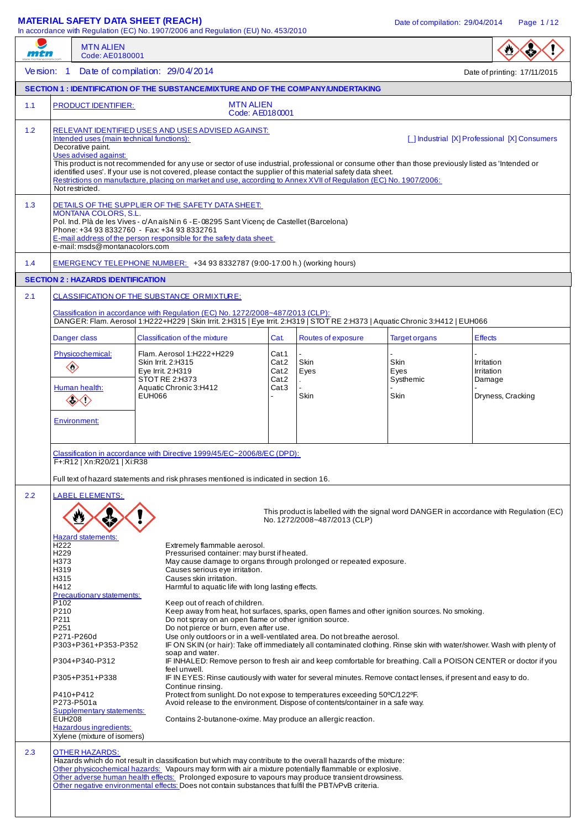# **MATERIAL SAFETY DATA SHEET (REACH)** Date of compilation: 29/04/2014 Page 1/12

In accordance With Regulation (ELI) No. 453/2010

| mtn |                                                                                                                                                                                                                                                                                                                                                                                                                                                                                                                                                                                                                                                                                                                                                                                                                                                                                                                                                                                                                                                                                                                                                                                                                                                                                                                                                                                                                                                                                                                                                                                                                                                                                                                                                                                                                                                                                                                                                                | <b>MTN ALIEN</b><br>Code: AE0180001                                              | In accordance with Regulation (EC) No. 1907/2006 and Regulation (EO) No. 453/2010                                                                                                                                                                                                                                                                                                                                                      |                                           |                                                  |                                   |                                    |                              |
|-----|----------------------------------------------------------------------------------------------------------------------------------------------------------------------------------------------------------------------------------------------------------------------------------------------------------------------------------------------------------------------------------------------------------------------------------------------------------------------------------------------------------------------------------------------------------------------------------------------------------------------------------------------------------------------------------------------------------------------------------------------------------------------------------------------------------------------------------------------------------------------------------------------------------------------------------------------------------------------------------------------------------------------------------------------------------------------------------------------------------------------------------------------------------------------------------------------------------------------------------------------------------------------------------------------------------------------------------------------------------------------------------------------------------------------------------------------------------------------------------------------------------------------------------------------------------------------------------------------------------------------------------------------------------------------------------------------------------------------------------------------------------------------------------------------------------------------------------------------------------------------------------------------------------------------------------------------------------------|----------------------------------------------------------------------------------|----------------------------------------------------------------------------------------------------------------------------------------------------------------------------------------------------------------------------------------------------------------------------------------------------------------------------------------------------------------------------------------------------------------------------------------|-------------------------------------------|--------------------------------------------------|-----------------------------------|------------------------------------|------------------------------|
|     | Version: 1                                                                                                                                                                                                                                                                                                                                                                                                                                                                                                                                                                                                                                                                                                                                                                                                                                                                                                                                                                                                                                                                                                                                                                                                                                                                                                                                                                                                                                                                                                                                                                                                                                                                                                                                                                                                                                                                                                                                                     |                                                                                  | Date of compilation: 29/04/2014                                                                                                                                                                                                                                                                                                                                                                                                        |                                           |                                                  |                                   |                                    | Date of printing: 17/11/2015 |
|     |                                                                                                                                                                                                                                                                                                                                                                                                                                                                                                                                                                                                                                                                                                                                                                                                                                                                                                                                                                                                                                                                                                                                                                                                                                                                                                                                                                                                                                                                                                                                                                                                                                                                                                                                                                                                                                                                                                                                                                |                                                                                  | SECTION 1: IDENTIFICATION OF THE SUBSTANCE/MIXTURE AND OF THE COMPANY/UNDERTAKING                                                                                                                                                                                                                                                                                                                                                      |                                           |                                                  |                                   |                                    |                              |
| 1.1 |                                                                                                                                                                                                                                                                                                                                                                                                                                                                                                                                                                                                                                                                                                                                                                                                                                                                                                                                                                                                                                                                                                                                                                                                                                                                                                                                                                                                                                                                                                                                                                                                                                                                                                                                                                                                                                                                                                                                                                | <b>PRODUCT IDENTIFIER:</b>                                                       | <b>MTN ALIEN</b><br>Code: AE0180001                                                                                                                                                                                                                                                                                                                                                                                                    |                                           |                                                  |                                   |                                    |                              |
| 1.2 | RELEVANT IDENTIFIED USES AND USES ADVISED AGAINST:<br>Intended uses (main technical functions):<br>[ ] Industrial [X] Professional [X] Consumers<br>Decorative paint.<br><b>Uses advised against:</b><br>This product is not recommended for any use or sector of use industrial, professional or consume other than those previously listed as 'Intended or<br>identified uses'. If your use is not covered, please contact the supplier of this material safety data sheet.<br>Restrictions on manufacture, placing on market and use, according to Annex XVII of Regulation (EC) No. 1907/2006:<br>Not restricted.                                                                                                                                                                                                                                                                                                                                                                                                                                                                                                                                                                                                                                                                                                                                                                                                                                                                                                                                                                                                                                                                                                                                                                                                                                                                                                                                          |                                                                                  |                                                                                                                                                                                                                                                                                                                                                                                                                                        |                                           |                                                  |                                   |                                    |                              |
| 1.3 | DETAILS OF THE SUPPLIER OF THE SAFETY DATA SHEET:<br><b>MONTANA COLORS, S.L.</b><br>Pol. Ind. Plà de les Vives - c/An aïs Nin 6 - E-08295 Sant Vicenç de Castellet (Barcelona)<br>Phone: +34 93 8332760 - Fax: +34 93 8332761<br>E-mail address of the person responsible for the safety data sheet:<br>e-mail: msds@montanacolors.com                                                                                                                                                                                                                                                                                                                                                                                                                                                                                                                                                                                                                                                                                                                                                                                                                                                                                                                                                                                                                                                                                                                                                                                                                                                                                                                                                                                                                                                                                                                                                                                                                         |                                                                                  |                                                                                                                                                                                                                                                                                                                                                                                                                                        |                                           |                                                  |                                   |                                    |                              |
| 1.4 |                                                                                                                                                                                                                                                                                                                                                                                                                                                                                                                                                                                                                                                                                                                                                                                                                                                                                                                                                                                                                                                                                                                                                                                                                                                                                                                                                                                                                                                                                                                                                                                                                                                                                                                                                                                                                                                                                                                                                                |                                                                                  | EMERGENCY TELEPHONE NUMBER: +34 93 8332787 (9:00-17:00 h.) (working hours)                                                                                                                                                                                                                                                                                                                                                             |                                           |                                                  |                                   |                                    |                              |
|     |                                                                                                                                                                                                                                                                                                                                                                                                                                                                                                                                                                                                                                                                                                                                                                                                                                                                                                                                                                                                                                                                                                                                                                                                                                                                                                                                                                                                                                                                                                                                                                                                                                                                                                                                                                                                                                                                                                                                                                | <b>SECTION 2: HAZARDS IDENTIFICATION</b>                                         |                                                                                                                                                                                                                                                                                                                                                                                                                                        |                                           |                                                  |                                   |                                    |                              |
| 2.1 |                                                                                                                                                                                                                                                                                                                                                                                                                                                                                                                                                                                                                                                                                                                                                                                                                                                                                                                                                                                                                                                                                                                                                                                                                                                                                                                                                                                                                                                                                                                                                                                                                                                                                                                                                                                                                                                                                                                                                                |                                                                                  | CLASSIFICATION OF THE SUBSTANCE ORMIXTURE:<br>Classification in accordance with Regulation (EC) No. 1272/2008~487/2013 (CLP):<br>DANGER: Flam. Aerosol 1:H222+H229   Skin Irrit. 2:H315   Eye Irrit. 2:H319   STOT RE 2:H373   Aquatic Chronic 3:H412   EUH066                                                                                                                                                                         |                                           |                                                  |                                   |                                    |                              |
|     |                                                                                                                                                                                                                                                                                                                                                                                                                                                                                                                                                                                                                                                                                                                                                                                                                                                                                                                                                                                                                                                                                                                                                                                                                                                                                                                                                                                                                                                                                                                                                                                                                                                                                                                                                                                                                                                                                                                                                                | Danger class                                                                     | <b>Classification of the mixture</b>                                                                                                                                                                                                                                                                                                                                                                                                   | Cat.                                      | Routes of exposure                               | <b>Target organs</b>              | <b>Effects</b>                     |                              |
|     |                                                                                                                                                                                                                                                                                                                                                                                                                                                                                                                                                                                                                                                                                                                                                                                                                                                                                                                                                                                                                                                                                                                                                                                                                                                                                                                                                                                                                                                                                                                                                                                                                                                                                                                                                                                                                                                                                                                                                                | Physicochemical:<br>$\diamondsuit$<br>Human health:<br>◈◇<br><b>Environment:</b> | Flam. Aerosol 1:H222+H229<br>Skin Irrit. 2:H315<br>Eye Irrit. 2:H319<br>STOT RE 2:H373<br>Aquatic Chronic 3:H412<br>EUH066                                                                                                                                                                                                                                                                                                             | Cat.1<br>Cat.2<br>Cat.2<br>Cat.2<br>Cat.3 | Skin<br>Eyes<br>$\overline{\phantom{a}}$<br>Skin | Skin<br>Eyes<br>Systhemic<br>Skin | Irritation<br>Irritation<br>Damage | Dryness, Cracking            |
| 2.2 | Classification in accordance with Directive 1999/45/EC~2006/8/EC (DPD):<br>F+:R12   Xn:R20/21   Xi:R38<br>Full text of hazard statements and risk phrases mentioned is indicated in section 16.<br><b>LABEL ELEMENTS:</b><br>This product is labelled with the signal word DANGER in accordance with Regulation (EC)<br>No. 1272/2008~487/2013 (CLP)<br><b>Hazard statements:</b><br>H <sub>222</sub><br>Extremely flammable aerosol.<br>Pressurised container: may burst if heated.<br>H <sub>229</sub><br>H373<br>May cause damage to organs through prolonged or repeated exposure.<br>H319<br>Causes serious eye irritation.<br>H315<br>Causes skin irritation.<br>H412<br>Harmful to aquatic life with long lasting effects.<br>Precautionary statements:<br>P102<br>Keep out of reach of children.<br>P210<br>Keep away from heat, hot surfaces, sparks, open flames and other ignition sources. No smoking.<br>P211<br>Do not spray on an open flame or other ignition source.<br>P251<br>Do not pierce or burn, even after use.<br>Use only outdoors or in a well-ventilated area. Do not breathe aerosol.<br>P271-P260d<br>P303+P361+P353-P352<br>IF ON SKIN (or hair): Take off immediately all contaminated clothing. Rinse skin with water/shower. Wash with plenty of<br>soap and water.<br>P304+P340-P312<br>IF INHALED: Remove person to fresh air and keep comfortable for breathing. Call a POISON CENTER or doctor if you<br>feel unwell.<br>IF IN EYES: Rinse cautiously with water for several minutes. Remove contact lenses, if present and easy to do.<br>P305+P351+P338<br>Continue rinsing.<br>P410+P412<br>Protect from sunlight. Do not expose to temperatures exceeding 50°C/122°F.<br>P273-P501a<br>Avoid release to the environment. Dispose of contents/container in a safe way.<br><b>Supplementary statements:</b><br><b>EUH208</b><br>Contains 2-butanone-oxime. May produce an allergic reaction.<br>Hazardous ingredients: |                                                                                  |                                                                                                                                                                                                                                                                                                                                                                                                                                        |                                           |                                                  |                                   |                                    |                              |
| 2.3 |                                                                                                                                                                                                                                                                                                                                                                                                                                                                                                                                                                                                                                                                                                                                                                                                                                                                                                                                                                                                                                                                                                                                                                                                                                                                                                                                                                                                                                                                                                                                                                                                                                                                                                                                                                                                                                                                                                                                                                | Xylene (mixture of isomers)<br><b>OTHER HAZARDS:</b>                             | Hazards which do not result in classification but which may contribute to the overall hazards of the mixture:<br>Other physicochemical hazards: Vapours may form with air a mixture potentially flammable or explosive.<br>Other adverse human health effects: Prolonged exposure to vapours may produce transient drowsiness.<br>Other negative environmental effects: Does not contain substances that fulfil the PBT/vPvB criteria. |                                           |                                                  |                                   |                                    |                              |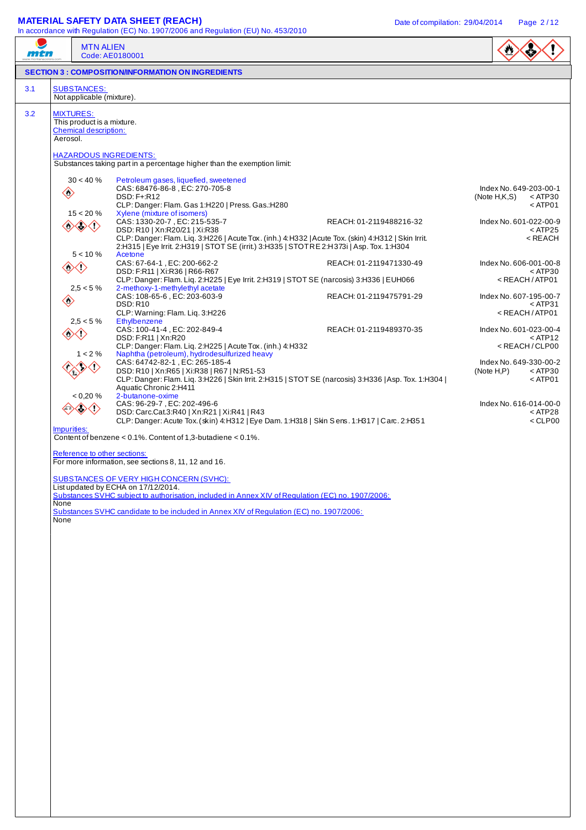## **MATERIAL SAFETY DATA SHEET (REACH)** Date of compilation: 29/04/2014 Page 2/12

| <i><b>FIFTI</b></i> |                                                                                              | <b>MTN ALIEN</b><br>Code: AE0180001                                                                                                                                                                                                                                                                                                                                                                                                                                                                                                                                                                                                                                                                                                                                                                                                                                                                                                                                                                                                                                                                                                                                                                                                                                                                                                                                                                                                                                                                                                                                                                                                                                                                                                                                                                                                                                                                                                                                                                                    |                                                                                                                                                                                                                                                                                                                                                                                                                                                                                                                           |
|---------------------|----------------------------------------------------------------------------------------------|------------------------------------------------------------------------------------------------------------------------------------------------------------------------------------------------------------------------------------------------------------------------------------------------------------------------------------------------------------------------------------------------------------------------------------------------------------------------------------------------------------------------------------------------------------------------------------------------------------------------------------------------------------------------------------------------------------------------------------------------------------------------------------------------------------------------------------------------------------------------------------------------------------------------------------------------------------------------------------------------------------------------------------------------------------------------------------------------------------------------------------------------------------------------------------------------------------------------------------------------------------------------------------------------------------------------------------------------------------------------------------------------------------------------------------------------------------------------------------------------------------------------------------------------------------------------------------------------------------------------------------------------------------------------------------------------------------------------------------------------------------------------------------------------------------------------------------------------------------------------------------------------------------------------------------------------------------------------------------------------------------------------|---------------------------------------------------------------------------------------------------------------------------------------------------------------------------------------------------------------------------------------------------------------------------------------------------------------------------------------------------------------------------------------------------------------------------------------------------------------------------------------------------------------------------|
|                     |                                                                                              | <b>SECTION 3: COMPOSITION/INFORMATION ON INGREDIENTS</b>                                                                                                                                                                                                                                                                                                                                                                                                                                                                                                                                                                                                                                                                                                                                                                                                                                                                                                                                                                                                                                                                                                                                                                                                                                                                                                                                                                                                                                                                                                                                                                                                                                                                                                                                                                                                                                                                                                                                                               |                                                                                                                                                                                                                                                                                                                                                                                                                                                                                                                           |
| 3.1                 |                                                                                              | <b>SUBSTANCES:</b><br>Not applicable (mixture).                                                                                                                                                                                                                                                                                                                                                                                                                                                                                                                                                                                                                                                                                                                                                                                                                                                                                                                                                                                                                                                                                                                                                                                                                                                                                                                                                                                                                                                                                                                                                                                                                                                                                                                                                                                                                                                                                                                                                                        |                                                                                                                                                                                                                                                                                                                                                                                                                                                                                                                           |
| 3.2                 | Aerosol.<br>$\Leftrightarrow$<br>$\langle \rangle$<br>$\langle \cdot \rangle$<br>Impurities: | <b>MIXTURES:</b><br>This product is a mixture.<br><b>Chemical description:</b><br><b>HAZARDOUS INGREDIENTS:</b><br>Substances taking part in a percentage higher than the exemption limit:<br>$30 < 40 \%$<br>Petroleum gases, liquefied, sweetened<br>CAS: 68476-86-8, EC: 270-705-8<br>DSD: F+:R12<br>CLP: Danger: Flam. Gas 1:H220   Press. Gas.:H280<br>$15 < 20 \%$<br>Xylene (mixture of isomers)<br>CAS: 1330-20-7, EC: 215-535-7<br>REACH: 01-2119488216-32<br>◇◇◇<br>DSD: R10   Xn:R20/21   Xi:R38<br>CLP: Danger: Flam. Liq. 3:H226   Acute Tox. (inh.) 4:H332   Acute Tox. (skin) 4:H312   Skin Irrit.<br>2:H315   Eye Irrit. 2:H319   STOT SE (irrit.) 3:H335   STOT RE 2:H373i   Asp. Tox. 1:H304<br>$5 < 10 \%$<br>Acetone<br>CAS: 67-64-1, EC: 200-662-2<br>REACH: 01-2119471330-49<br>◇◇◇<br>DSD: F:R11   Xi:R36   R66-R67<br>CLP: Danger: Flam. Liq. 2:H225   Eye Irrit. 2:H319   STOT SE (narcosis) 3:H336   EUH066<br>2-methoxy-1-methylethyl acetate<br>$2.5 < 5 \%$<br>CAS: 108-65-6, EC: 203-603-9<br>REACH: 01-2119475791-29<br><b>DSD: R10</b><br>CLP: Warning: Flam. Liq. 3:H226<br>$2.5 < 5 \%$<br>Ethylbenzene<br>CAS: 100-41-4, EC: 202-849-4<br>REACH: 01-2119489370-35<br>$\langle \rangle$<br>DSD: F:R11   Xn:R20<br>CLP: Danger: Flam. Liq. 2:H225   Acute Tox. (inh.) 4:H332<br>Naphtha (petroleum), hydrodesulfurized heavy<br>$1 < 2\%$<br>CAS: 64742-82-1, EC: 265-185-4<br>DSD: R10   Xn:R65   Xi:R38   R67   N:R51-53<br>CLP: Danger: Flam. Liq. 3:H226   Skin Irrit. 2:H315   STOT SE (narcosis) 3:H336   Asp. Tox. 1:H304  <br>Aquatic Chronic 2:H411<br>2-butanone-oxime<br>< 0,20 %<br>CAS: 96-29-7, EC: 202-496-6<br>DSD: Carc.Cat.3:R40   Xn:R21   Xi:R41   R43<br>CLP: Danger: Acute Tox. (skin) 4: H312   Eye Dam. 1: H318   Skin Sens. 1: H317   Carc. 2: H351<br>Content of benzene < 0.1%. Content of 1,3-butadiene < 0.1%.<br>Reference to other sections:<br>For more information, see sections 8, 11, 12 and 16.<br><b>SUBSTANCES OF VERY HIGH CONCERN (SVHC):</b> | Index No. 649-203-00-1<br>(Note H,K,S)<br>$<$ ATP30<br>$<$ ATP01<br>Index No. 601-022-00-9<br>$<$ ATP25<br>$<$ REACH<br>Index No. 606-001-00-8<br>$<$ ATP30<br>$<$ REACH / ATP01<br>Index No. 607-195-00-7<br>$<$ ATP31<br><reach atp01<br="">Index No. 601-023-00-4<br/><math>&lt;</math> ATP12<br/><reach clp00<br="">Index No. 649-330-00-2<br/>(Note H, P)<br/><math>&lt;</math> ATP30<br/><math>&lt;</math> ATP01<br/>Index No. 616-014-00-0<br/><math>&lt;</math> ATP28<br/><math>&lt;</math> CLP00</reach></reach> |
|                     | None<br>None                                                                                 | List updated by ECHA on 17/12/2014.<br>Substances SVHC subject to authorisation, included in Annex XIV of Regulation (EC) no. 1907/2006:<br>Substances SVHC candidate to be included in Annex XIV of Regulation (EC) no. 1907/2006:                                                                                                                                                                                                                                                                                                                                                                                                                                                                                                                                                                                                                                                                                                                                                                                                                                                                                                                                                                                                                                                                                                                                                                                                                                                                                                                                                                                                                                                                                                                                                                                                                                                                                                                                                                                    |                                                                                                                                                                                                                                                                                                                                                                                                                                                                                                                           |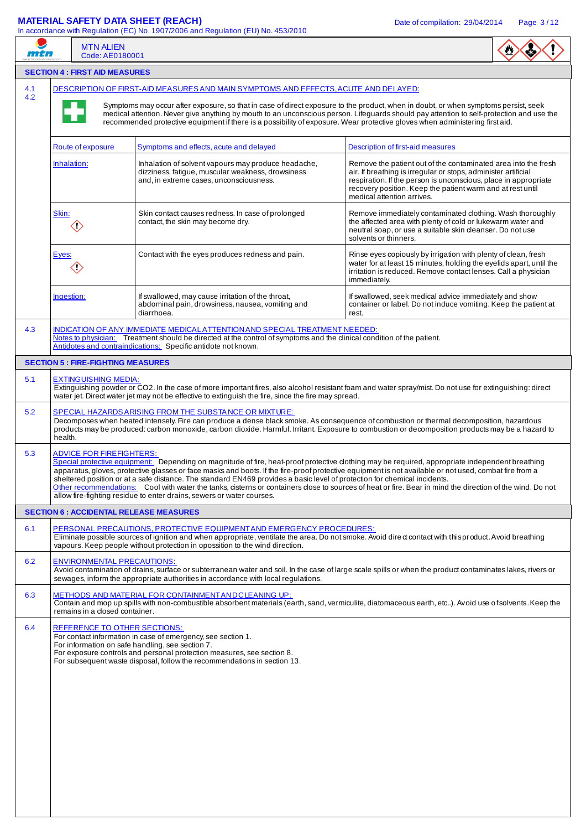# **MATERIAL SAFETY DATA SHEET (REACH)** Date of compilation: 29/04/2014 Page 3/12

| mtn        | <b>MTN ALIEN</b><br>Code: AE0180001                                                                                                                                                                                                                                                                    | In accordance with Regulation (EC) No. 1907/2006 and Regulation (EU) No. 453/2010                                                                                                                                                                                                                                                                                                                                                                                                                                                                                                                                                                                            |                                                                                                                                                                                                                                                                                                 |  |  |  |  |  |  |
|------------|--------------------------------------------------------------------------------------------------------------------------------------------------------------------------------------------------------------------------------------------------------------------------------------------------------|------------------------------------------------------------------------------------------------------------------------------------------------------------------------------------------------------------------------------------------------------------------------------------------------------------------------------------------------------------------------------------------------------------------------------------------------------------------------------------------------------------------------------------------------------------------------------------------------------------------------------------------------------------------------------|-------------------------------------------------------------------------------------------------------------------------------------------------------------------------------------------------------------------------------------------------------------------------------------------------|--|--|--|--|--|--|
|            | <b>SECTION 4 : FIRST AID MEASURES</b>                                                                                                                                                                                                                                                                  |                                                                                                                                                                                                                                                                                                                                                                                                                                                                                                                                                                                                                                                                              |                                                                                                                                                                                                                                                                                                 |  |  |  |  |  |  |
| 4.1<br>4.2 |                                                                                                                                                                                                                                                                                                        | DESCRIPTION OF FIRST-AID MEASURES AND MAIN SYMPTOMS AND EFFECTS, ACUTE AND DELAYED:                                                                                                                                                                                                                                                                                                                                                                                                                                                                                                                                                                                          |                                                                                                                                                                                                                                                                                                 |  |  |  |  |  |  |
|            |                                                                                                                                                                                                                                                                                                        | Symptoms may occur after exposure, so that in case of direct exposure to the product, when in doubt, or when symptoms persist, seek<br>medical attention. Never give anything by mouth to an unconscious person. Lifeguards should pay attention to self-protection and use the<br>recommended protective equipment if there is a possibility of exposure. Wear protective gloves when administering first aid.                                                                                                                                                                                                                                                              |                                                                                                                                                                                                                                                                                                 |  |  |  |  |  |  |
|            | Route of exposure<br>Symptoms and effects, acute and delayed<br>Description of first-aid measures                                                                                                                                                                                                      |                                                                                                                                                                                                                                                                                                                                                                                                                                                                                                                                                                                                                                                                              |                                                                                                                                                                                                                                                                                                 |  |  |  |  |  |  |
|            | Inhalation:                                                                                                                                                                                                                                                                                            | Inhalation of solvent vapours may produce headache,<br>dizziness, fatigue, muscular weakness, drowsiness<br>and, in extreme cases, unconsciousness.                                                                                                                                                                                                                                                                                                                                                                                                                                                                                                                          | Remove the patient out of the contaminated area into the fresh<br>air. If breathing is irregular or stops, administer artificial<br>respiration. If the person is unconscious, place in appropriate<br>recovery position. Keep the patient warm and at rest until<br>medical attention arrives. |  |  |  |  |  |  |
|            | Skin:<br>$\diamondsuit$                                                                                                                                                                                                                                                                                | Skin contact causes redness. In case of prolonged<br>contact, the skin may become dry.                                                                                                                                                                                                                                                                                                                                                                                                                                                                                                                                                                                       | Remove immediately contaminated clothing. Wash thoroughly<br>the affected area with plenty of cold or lukewarm water and<br>neutral soap, or use a suitable skin cleanser. Do not use<br>solvents or thinners.                                                                                  |  |  |  |  |  |  |
|            | Eyes:<br>$\langle \rangle$                                                                                                                                                                                                                                                                             | Contact with the eyes produces redness and pain.                                                                                                                                                                                                                                                                                                                                                                                                                                                                                                                                                                                                                             | Rinse eyes copiously by irrigation with plenty of clean, fresh<br>water for at least 15 minutes, holding the eyelids apart, until the<br>irritation is reduced. Remove contact lenses. Call a physician<br>immediately.                                                                         |  |  |  |  |  |  |
|            | Ingestion:                                                                                                                                                                                                                                                                                             | If swallowed, may cause irritation of the throat,<br>abdominal pain, drowsiness, nausea, vomiting and<br>diarrhoea.                                                                                                                                                                                                                                                                                                                                                                                                                                                                                                                                                          | If swallowed, seek medical advice immediately and show<br>container or label. Do not induce vomiting. Keep the patient at<br>rest.                                                                                                                                                              |  |  |  |  |  |  |
| 4.3        |                                                                                                                                                                                                                                                                                                        | INDICATION OF ANY IMMEDIATE MEDICAL ATTENTION AND SPECIAL TREATMENT NEEDED:<br>Notes to physician: Treatment should be directed at the control of symptoms and the clinical condition of the patient.<br>Antidotes and contraindications: Specific antidote not known.                                                                                                                                                                                                                                                                                                                                                                                                       |                                                                                                                                                                                                                                                                                                 |  |  |  |  |  |  |
|            | <b>SECTION 5 : FIRE-FIGHTING MEASURES</b>                                                                                                                                                                                                                                                              |                                                                                                                                                                                                                                                                                                                                                                                                                                                                                                                                                                                                                                                                              |                                                                                                                                                                                                                                                                                                 |  |  |  |  |  |  |
| 5.1        | <b>EXTINGUISHING MEDIA:</b>                                                                                                                                                                                                                                                                            | Extinguishing powder or CO2. In the case of more important fires, also alcohol resistant foam and water spray/mist. Do not use for extinguishing: direct<br>water jet. Direct water jet may not be effective to extinguish the fire, since the fire may spread.                                                                                                                                                                                                                                                                                                                                                                                                              |                                                                                                                                                                                                                                                                                                 |  |  |  |  |  |  |
| 5.2        | health.                                                                                                                                                                                                                                                                                                | SPECIAL HAZARDS ARISING FROM THE SUBSTANCE OR MIXTURE:<br>Decomposes when heated intensely. Fire can produce a dense black smoke. As consequence of combustion or thermal decomposition, hazardous<br>products may be produced: carbon monoxide, carbon dioxide. Harmful. Irritant. Exposure to combustion or decomposition products may be a hazard to                                                                                                                                                                                                                                                                                                                      |                                                                                                                                                                                                                                                                                                 |  |  |  |  |  |  |
| 5.3        | <b>ADVICE FOR FIREFIGHTERS:</b>                                                                                                                                                                                                                                                                        | Special protective equipment: Depending on magnitude of fire, heat-proof protective clothing may be required, appropriate independent breathing<br>apparatus, gloves, protective glasses or face masks and boots. If the fire-proof protective equipment is not available or not used, combat fire from a<br>sheltered position or at a safe distance. The standard EN469 provides a basic level of protection for chemical incidents.<br>Other recommendations: Cool with water the tanks, cisterns or containers close to sources of heat or fire. Bear in mind the direction of the wind. Do not<br>allow fire-fighting residue to enter drains, sewers or water courses. |                                                                                                                                                                                                                                                                                                 |  |  |  |  |  |  |
|            | <b>SECTION 6 : ACCIDENTAL RELEASE MEASURES</b>                                                                                                                                                                                                                                                         |                                                                                                                                                                                                                                                                                                                                                                                                                                                                                                                                                                                                                                                                              |                                                                                                                                                                                                                                                                                                 |  |  |  |  |  |  |
| 6.1        |                                                                                                                                                                                                                                                                                                        | PERSONAL PRECAUTIONS, PROTECTIVE EQUIPMENT AND EMERGENCY PROCEDURES:<br>Eliminate possible sources of ignition and when appropriate, ventilate the area. Do not smoke. Avoid dired contact with this product. Avoid breathing<br>vapours. Keep people without protection in opossition to the wind direction.                                                                                                                                                                                                                                                                                                                                                                |                                                                                                                                                                                                                                                                                                 |  |  |  |  |  |  |
| 6.2        | <b>ENVIRONMENTAL PRECAUTIONS:</b>                                                                                                                                                                                                                                                                      | Avoid contamination of drains, surface or subterranean water and soil. In the case of large scale spills or when the product contaminates lakes, rivers or<br>sewages, inform the appropriate authorities in accordance with local regulations.                                                                                                                                                                                                                                                                                                                                                                                                                              |                                                                                                                                                                                                                                                                                                 |  |  |  |  |  |  |
| 6.3        | METHODS AND MATERIAL FOR CONTAINMENT AND CLEANING UP:<br>Contain and mop up spills with non-combustible absorbent materials (earth, sand, vermiculite, diatomaceous earth, etc). Avoid use of solvents. Keep the<br>remains in a closed container.                                                     |                                                                                                                                                                                                                                                                                                                                                                                                                                                                                                                                                                                                                                                                              |                                                                                                                                                                                                                                                                                                 |  |  |  |  |  |  |
| 6.4        | REFERENCE TO OTHER SECTIONS:<br>For contact information in case of emergency, see section 1.<br>For information on safe handling, see section 7.<br>For exposure controls and personal protection measures, see section 8.<br>For subsequent waste disposal, follow the recommendations in section 13. |                                                                                                                                                                                                                                                                                                                                                                                                                                                                                                                                                                                                                                                                              |                                                                                                                                                                                                                                                                                                 |  |  |  |  |  |  |
|            |                                                                                                                                                                                                                                                                                                        |                                                                                                                                                                                                                                                                                                                                                                                                                                                                                                                                                                                                                                                                              |                                                                                                                                                                                                                                                                                                 |  |  |  |  |  |  |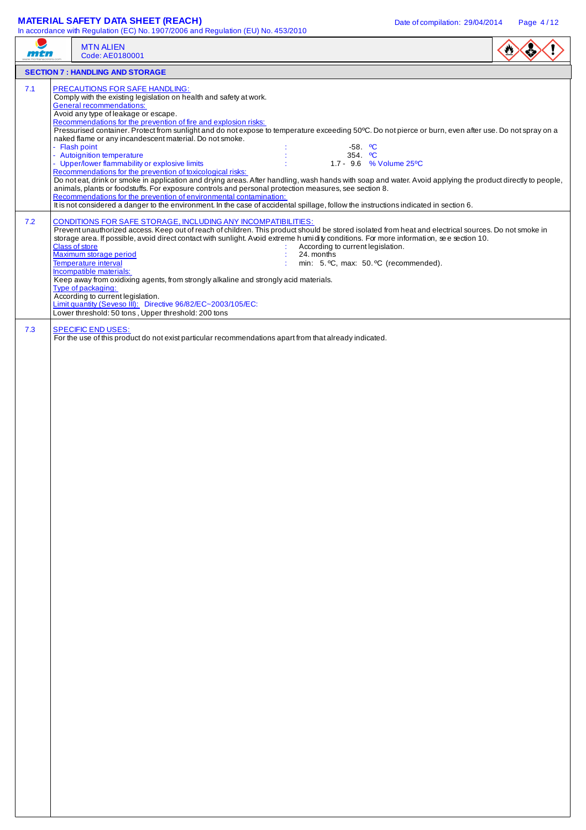## **MATERIAL SAFETY DATA SHEET (REACH)** Date of compilation: 29/04/2014 Page 4/12

|     | <b>MTN ALIEN</b><br>Code: AE0180001                                                                                                                                                                                                                                                                                                                                                                                                                                                                                                                                                                                                                                                                                                                                                                                                                                                                                                                                                                                                                                                                                                                                                             |  |
|-----|-------------------------------------------------------------------------------------------------------------------------------------------------------------------------------------------------------------------------------------------------------------------------------------------------------------------------------------------------------------------------------------------------------------------------------------------------------------------------------------------------------------------------------------------------------------------------------------------------------------------------------------------------------------------------------------------------------------------------------------------------------------------------------------------------------------------------------------------------------------------------------------------------------------------------------------------------------------------------------------------------------------------------------------------------------------------------------------------------------------------------------------------------------------------------------------------------|--|
|     | <b>SECTION 7: HANDLING AND STORAGE</b>                                                                                                                                                                                                                                                                                                                                                                                                                                                                                                                                                                                                                                                                                                                                                                                                                                                                                                                                                                                                                                                                                                                                                          |  |
| 7.1 | <b>PRECAUTIONS FOR SAFE HANDLING:</b><br>Comply with the existing legislation on health and safety at work.<br><b>General recommendations:</b><br>Avoid any type of leakage or escape.<br>Recommendations for the prevention of fire and explosion risks:<br>Pressurised container. Protect from sunlight and do not expose to temperature exceeding 50°C. Do not pierce or burn, even after use. Do not spray on a<br>naked flame or any incandescent material. Do not smoke.<br>- Flash point<br>$-58.$ °C<br>- Autoignition temperature<br>354. $^{\circ}$ C<br>- Upper/lower flammability or explosive limits<br>1.7 - 9.6 % Volume 25°C<br>Recommendations for the prevention of toxicological risks:<br>Do noteat, drink or smoke in application and drying areas. After handling, wash hands with soap and water. Avoid applying the product directly to people,<br>animals, plants or foodstuffs. For exposure controls and personal protection measures, see section 8.<br>Recommendations for the prevention of environmental contamination:<br>It is not considered a danger to the environment. In the case of accidental spillage, follow the instructions indicated in section 6. |  |
| 7.2 | <b>CONDITIONS FOR SAFE STORAGE, INCLUDING ANY INCOMPATIBILITIES:</b><br>Prevent unauthorized access. Keep out of reach of children. This product should be stored isolated from heat and electrical sources. Do not smoke in<br>storage area. If possible, avoid direct contact with sunlight. Avoid extreme humidity conditions. For more information, see section 10.<br><b>Class of store</b><br>According to current legislation.<br>Maximum storage period<br>24. months<br>Temperature interval<br>min: 5. °C, max: 50. °C (recommended).<br>Incompatible materials:<br>Keep away from oxidixing agents, from strongly alkaline and strongly acid materials.<br>Type of packaging:<br>According to current legislation.<br>Limit quantity (Seveso III): Directive 96/82/EC~2003/105/EC:<br>Lower threshold: 50 tons, Upper threshold: 200 tons                                                                                                                                                                                                                                                                                                                                            |  |
| 7.3 | <b>SPECIFIC END USES:</b><br>For the use of this product do not exist particular recommendations apart from that already indicated.                                                                                                                                                                                                                                                                                                                                                                                                                                                                                                                                                                                                                                                                                                                                                                                                                                                                                                                                                                                                                                                             |  |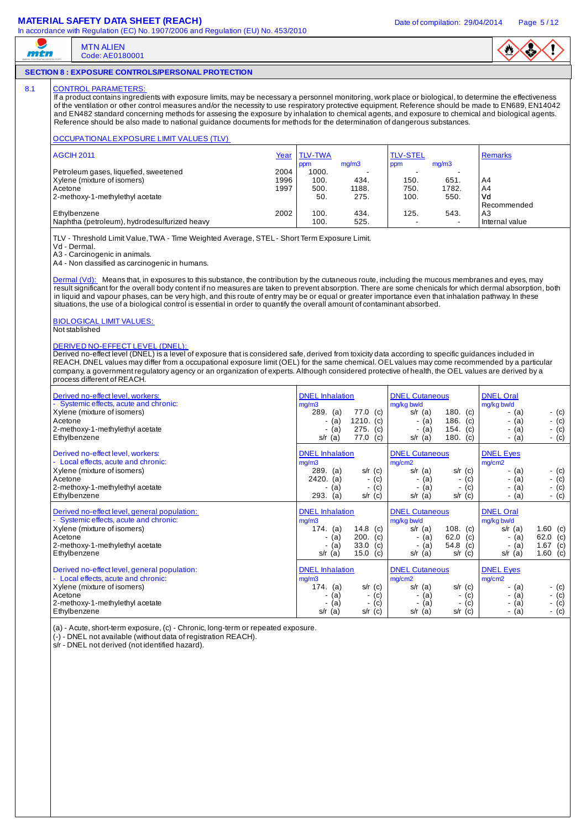### **MATERIAL SAFETY DATA SHEET (REACH)** Date of compilation: 29/04/2014 Page 5/12

MTN ALIEN Code: AE0180001



### **SECTION 8 : EXPOSURE CONTROLS/PERSONAL PROTECTION**

### 8.1 CONTROL PARAMETERS

mtn

If a product contains ingredients with exposure limits, may be necessary a personnel monitoring, work place or biological, to determine the effectiveness of the ventilation or other control measures and/or the necessity to use respiratory protective equipment. Reference should be made to EN689, EN14042 and EN482 standard concerning methods for assesing the exposure by inhalation to chemical agents, and exposure to chemical and biological agents. Reference should be also made to national guidance documents for methods for the determination of dangerous substances.

### OCCUPATIONAL EXPOSURE LIMIT VALUES (TLV)

| AGCIH 2011                                   | Year | <b>TLV-TWA</b> |       | <b>TLV-STEL</b> |       | Remarks          |
|----------------------------------------------|------|----------------|-------|-----------------|-------|------------------|
|                                              |      | ppm            | ma/m3 | ppm             | mq/m3 |                  |
| Petroleum gases, liquefied, sweetened        | 2004 | 1000.          | -     |                 |       |                  |
| Xylene (mixture of isomers)                  | 1996 | 100.           | 434.  | 150.            | 651   | A4               |
| Acetone                                      | 1997 | 500.           | 1188. | 750.            | 1782. | A4               |
| 2-methoxy-1-methylethyl acetate              |      | 50.            | 275.  | 100.            | 550.  | Vd               |
|                                              |      |                |       |                 |       | Recommended      |
| Ethylbenzene                                 | 2002 | 100.           | 434.  | 125.            | 543.  | A <sub>3</sub>   |
| Naphtha (petroleum), hydrodesulfurized heavy |      | 100.           | 525.  |                 |       | l Internal value |

TLV - Threshold Limit Value, TWA - Time Weighted Average, STEL - Short Term Exposure Limit.

Vd - Dermal.

A3 - Carcinogenic in animals.

A4 - Non classified as carcinogenic in humans.

Dermal (Vd): Means that, in exposures to this substance, the contribution by the cutaneous route, including the mucous membranes and eyes, may result significant for the overall body content if no measures are taken to prevent absorption. There are some chenicals for which dermal absorption, both in liquid and vapour phases, can be very high, and this route of entry may be or equal or greater importance even that inhalation pathway. In these situations, the use of a biological control is essential in order to quantify the overall amount of contaminant absorbed.

#### BIOLOGICAL LIMIT VALUES: Not stablished

#### DERIVED NO-EFFECT LEVEL (DNEL):

Derived no-effect level (DNEL) is a level of exposure that is considered safe, derived from toxicity data according to specific guidances included in REACH. DNEL values may differ from a occupational exposure limit (OEL) for the same chemical. OEL values may come recommended by a particular company, a government regulatory agency or an organization of experts. Although considered protective of health, the OEL values are derived by a process different of REACH.

| Derived no-effect level, workers:<br>- Systemic effects, acute and chronic:<br>Xylene (mixture of isomers)<br>Acetone<br>2-methoxy-1-methylethyl acetate<br>Ethylbenzene            | <b>DNEL</b> Inhalation<br>mg/m3<br>$289.$ (a)<br>77.0<br>(c)<br>$1210.$ (c)<br>- (a)<br>275.<br>(c)<br>(a)<br>77.0<br>$s/r$ (a)<br>(c) | <b>DNEL Cutaneous</b><br>mg/kg bw/d<br>180. $(c)$<br>s/r $(a)$<br>186. $(c)$<br>- (a)<br>154. $(c)$<br>(a)<br>180. $(c)$<br>$s/r$ (a)                                             | <b>DNEL Oral</b><br>mg/kg bw/d<br>- (c)<br>- (a)<br>$-$ (c)<br>- (a)<br>(a)<br>- (c)<br>$-$ (c)<br>- (a)                   |
|-------------------------------------------------------------------------------------------------------------------------------------------------------------------------------------|----------------------------------------------------------------------------------------------------------------------------------------|-----------------------------------------------------------------------------------------------------------------------------------------------------------------------------------|----------------------------------------------------------------------------------------------------------------------------|
| Derived no-effect level, workers:<br>- Local effects, acute and chronic:<br>Xylene (mixture of isomers)<br>Acetone<br>2-methoxy-1-methylethyl acetate<br>Ethylbenzene               | <b>DNEL</b> Inhalation<br>mg/m3<br>$289.$ (a)<br>$s/r$ (c)<br>$2420.$ (a)<br>$-$ (c)<br>(a)<br>- (c)<br>$s/r$ (c)<br>293.<br>(a)       | <b>DNEL Cutaneous</b><br>mg/cm2<br>$s/r$ (a)<br>$s/r$ (c)<br>$-$ (c)<br>- (a)<br>(c)<br>(a)<br>$\overline{\phantom{a}}$<br>$\overline{\phantom{a}}$<br>$s/r$ (c)<br>$s/r$ (a)     | <b>DNEL Eyes</b><br>mg/cm2<br>- (c)<br>- (a)<br>- (c)<br>- (a)<br>(a)<br>$-$ (c)<br>$-$ (a)<br>- (c)                       |
| Derived no-effect level, general population:<br>- Systemic effects, acute and chronic:<br>Xylene (mixture of isomers)<br>Acetone<br>2-methoxy-1-methylethyl acetate<br>Ethylbenzene | <b>DNEL</b> Inhalation<br>mg/m3<br>14.8<br>174. (a)<br>(c)<br>200.<br>(a)<br>(c)<br>33.0<br>(c)<br>(a)<br>$s/r$ (a)<br>15.0<br>(c)     | <b>DNEL Cutaneous</b><br>mg/kg bw/d<br>$s/r$ (a)<br>108. $(c)$<br>62.0<br>(c)<br>- (a)<br>54.8<br>(a)<br>(c)<br>$s/r$ (c)<br>$s/r$ (a)                                            | <b>DNEL Oral</b><br>mg/kg bw/d<br>1.60 (c)<br>$s/r$ (a)<br>62.0 (c)<br>- (a)<br>1.67 $(c)$<br>(a)<br>$s/r$ (a)<br>1.60 (c) |
| Derived no-effect level, general population:<br>- Local effects, acute and chronic:<br>Xylene (mixture of isomers)<br>Acetone<br>2-methoxy-1-methylethyl acetate<br>Ethylbenzene    | <b>DNEL</b> Inhalation<br>mg/m3<br>174. (a)<br>$s/r$ (c)<br>(a)<br>(c)<br>-<br>(a)<br>(c)<br>-<br>$s/r$ (a)<br>$s/r$ (c)               | <b>DNEL Cutaneous</b><br>mg/cm2<br>$s/r$ (a)<br>$s/r$ (c)<br>(c)<br>(a)<br>$\overline{\phantom{a}}$<br>۰<br>(c)<br>(a)<br>$\overline{\phantom{a}}$<br>۰<br>$s/r$ (a)<br>$s/r$ (c) | <b>DNEL Eyes</b><br>mg/cm2<br>- (c)<br>- (a)<br>$-$ (c)<br>(a)<br>(a)<br>- (c)<br>$-$ (c)<br>(a)<br>۰.                     |

(a) - Acute, short-term exposure, (c) - Chronic, long-term or repeated exposure.

(-) - DNEL not available (without data of registration REACH).

s/r - DNEL not derived (not identified hazard).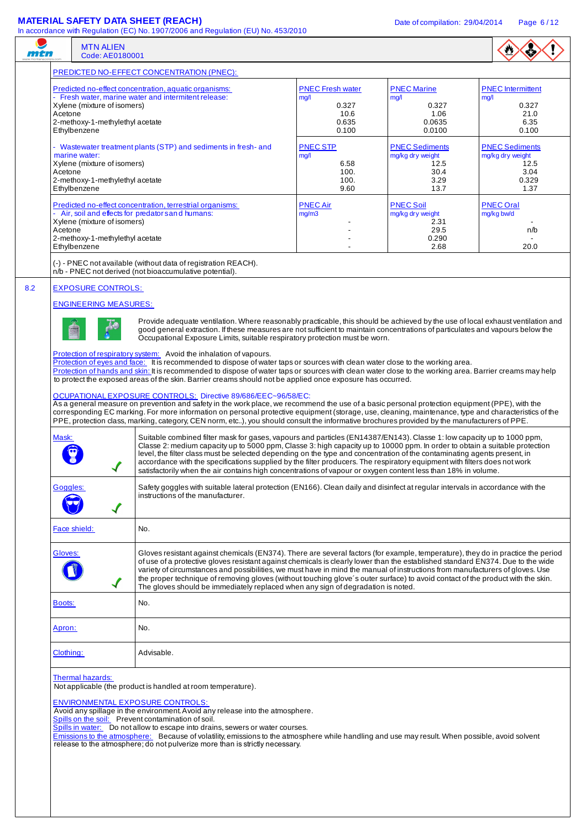|                   |                                                                                                                                                                                                                                                                                                                                                                                                                                        | <b>MATERIAL SAFETY DATA SHEET (REACH)</b><br>In accordance with Regulation (EC) No. 1907/2006 and Regulation (EU) No. 453/2010                                                                                                                                                                                                                                                                                                                                                                                                                                                                                                                                                                                                                                                                                                                                                                                                                                                                                                                                                                                                                                                                                                                                                                                                                                                                                                                                                                                                                                                                                                                                                                                                                                                                                                                                                                                                                                                                                                                                                                                                                                          |                                                                    | Date of compilation: 29/04/2014                                           | Page 6/12                                                                  |  |  |
|-------------------|----------------------------------------------------------------------------------------------------------------------------------------------------------------------------------------------------------------------------------------------------------------------------------------------------------------------------------------------------------------------------------------------------------------------------------------|-------------------------------------------------------------------------------------------------------------------------------------------------------------------------------------------------------------------------------------------------------------------------------------------------------------------------------------------------------------------------------------------------------------------------------------------------------------------------------------------------------------------------------------------------------------------------------------------------------------------------------------------------------------------------------------------------------------------------------------------------------------------------------------------------------------------------------------------------------------------------------------------------------------------------------------------------------------------------------------------------------------------------------------------------------------------------------------------------------------------------------------------------------------------------------------------------------------------------------------------------------------------------------------------------------------------------------------------------------------------------------------------------------------------------------------------------------------------------------------------------------------------------------------------------------------------------------------------------------------------------------------------------------------------------------------------------------------------------------------------------------------------------------------------------------------------------------------------------------------------------------------------------------------------------------------------------------------------------------------------------------------------------------------------------------------------------------------------------------------------------------------------------------------------------|--------------------------------------------------------------------|---------------------------------------------------------------------------|----------------------------------------------------------------------------|--|--|
| mtn               | <b>MTN ALIEN</b><br>Code: AE0180001                                                                                                                                                                                                                                                                                                                                                                                                    |                                                                                                                                                                                                                                                                                                                                                                                                                                                                                                                                                                                                                                                                                                                                                                                                                                                                                                                                                                                                                                                                                                                                                                                                                                                                                                                                                                                                                                                                                                                                                                                                                                                                                                                                                                                                                                                                                                                                                                                                                                                                                                                                                                         |                                                                    |                                                                           |                                                                            |  |  |
|                   |                                                                                                                                                                                                                                                                                                                                                                                                                                        | PREDICTED NO-EFFECT CONCENTRATION (PNEC):                                                                                                                                                                                                                                                                                                                                                                                                                                                                                                                                                                                                                                                                                                                                                                                                                                                                                                                                                                                                                                                                                                                                                                                                                                                                                                                                                                                                                                                                                                                                                                                                                                                                                                                                                                                                                                                                                                                                                                                                                                                                                                                               |                                                                    |                                                                           |                                                                            |  |  |
| Acetone           | Xylene (mixture of isomers)<br>2-methoxy-1-methylethyl acetate<br>Ethylbenzene                                                                                                                                                                                                                                                                                                                                                         | Predicted no-effect concentration, aquatic organisms:<br>- Fresh water, marine water and intermitent release:                                                                                                                                                                                                                                                                                                                                                                                                                                                                                                                                                                                                                                                                                                                                                                                                                                                                                                                                                                                                                                                                                                                                                                                                                                                                                                                                                                                                                                                                                                                                                                                                                                                                                                                                                                                                                                                                                                                                                                                                                                                           | <b>PNEC Fresh water</b><br>mg/l<br>0.327<br>10.6<br>0.635<br>0.100 | <b>PNEC Marine</b><br>mg/l<br>0.327<br>1.06<br>0.0635<br>0.0100           | <b>PNEC</b> Intermittent<br>mg/l<br>0.327<br>21.0<br>6.35<br>0.100         |  |  |
| Acetone           | marine water:<br>Xylene (mixture of isomers)<br>2-methoxy-1-methylethyl acetate<br>Ethylbenzene                                                                                                                                                                                                                                                                                                                                        | - Wastewater treatment plants (STP) and sediments in fresh- and                                                                                                                                                                                                                                                                                                                                                                                                                                                                                                                                                                                                                                                                                                                                                                                                                                                                                                                                                                                                                                                                                                                                                                                                                                                                                                                                                                                                                                                                                                                                                                                                                                                                                                                                                                                                                                                                                                                                                                                                                                                                                                         | <b>PNEC STP</b><br>mg/l<br>6.58<br>100.<br>100.<br>9.60            | <b>PNEC Sediments</b><br>mg/kg dry weight<br>12.5<br>30.4<br>3.29<br>13.7 | <b>PNEC Sediments</b><br>mg/kg dry weight<br>12.5<br>3.04<br>0.329<br>1.37 |  |  |
| Acetone           | Xylene (mixture of isomers)<br>2-methoxy-1-methylethyl acetate<br>Ethylbenzene                                                                                                                                                                                                                                                                                                                                                         | Predicted no-effect concentration, terrestrial organisms:<br>- Air, soil and effects for predator s and humans:                                                                                                                                                                                                                                                                                                                                                                                                                                                                                                                                                                                                                                                                                                                                                                                                                                                                                                                                                                                                                                                                                                                                                                                                                                                                                                                                                                                                                                                                                                                                                                                                                                                                                                                                                                                                                                                                                                                                                                                                                                                         | <b>PNEC Air</b><br>mg/m3                                           | <b>PNEC Soil</b><br>mg/kg dry weight<br>2.31<br>29.5<br>0.290<br>2.68     | <b>PNEC Oral</b><br>mg/kg bw/d<br>n/b<br>20.0                              |  |  |
|                   |                                                                                                                                                                                                                                                                                                                                                                                                                                        | (-) - PNEC not available (without data of registration REACH).<br>n/b - PNEC not derived (not bioaccumulative potential).                                                                                                                                                                                                                                                                                                                                                                                                                                                                                                                                                                                                                                                                                                                                                                                                                                                                                                                                                                                                                                                                                                                                                                                                                                                                                                                                                                                                                                                                                                                                                                                                                                                                                                                                                                                                                                                                                                                                                                                                                                               |                                                                    |                                                                           |                                                                            |  |  |
| Mask:<br>Goggles: | $\widehat{\mathbf{G}}$                                                                                                                                                                                                                                                                                                                                                                                                                 | Provide adequate ventilation. Where reasonably practicable, this should be achieved by the use of local exhaust ventilation and<br>good general extraction. If these measures are not sufficient to maintain concentrations of particulates and vapours below the<br>Occupational Exposure Limits, suitable respiratory protection must be worn.<br>Protection of respiratory system: Avoid the inhalation of vapours.<br>Protection of eyes and face: It is recommended to dispose of water taps or sources with clean water close to the working area.<br>Protection of hands and skin: It is recommended to dispose of water taps or sources with clean water close to the working area. Barrier creams may help<br>to protect the exposed areas of the skin. Barrier creams should not be applied once exposure has occurred.<br>OCUPATIONAL EXPOSURE CONTROLS: Directive 89/686/EEC~96/58/EC:<br>As a general measure on prevention and safety in the work place, we recommend the use of a basic personal protection equipment (PPE), with the<br>corresponding EC marking. For more information on personal protective equipment (storage, use, cleaning, maintenance, type and characteristics of the<br>PPE, protection class, marking, category, CEN norm, etc), you should consult the informative brochures provided by the manufacturers of PPE.<br>Suitable combined filter mask for gases, vapours and particles (EN14387/EN143). Classe 1: low capacity up to 1000 ppm,<br>Classe 2: medium capacity up to 5000 ppm, Classe 3: high capacity up to 10000 ppm. In order to obtain a suitable protection<br>level, the filter class must be selected depending on the type and concentration of the contaminating agents present, in<br>accordance with the specifications supplied by the filter producers. The respiratory equipment with filters does not work<br>satisfactorily when the air contains high concentrations of vapour or oxygen content less than 18% in volume.<br>Safety goggles with suitable lateral protection (EN166). Clean daily and disinfect at regular intervals in accordance with the<br>instructions of the manufacturer. |                                                                    |                                                                           |                                                                            |  |  |
|                   | Face shield:<br>No.<br>Gloves resistant against chemicals (EN374). There are several factors (for example, temperature), they do in practice the period<br>Gloves:<br>of use of a protective gloves resistant against chemicals is clearly lower than the established standard EN374. Due to the wide<br>variety of circumstances and possibilities, we must have in mind the manual of instructions from manufacturers of gloves. Use |                                                                                                                                                                                                                                                                                                                                                                                                                                                                                                                                                                                                                                                                                                                                                                                                                                                                                                                                                                                                                                                                                                                                                                                                                                                                                                                                                                                                                                                                                                                                                                                                                                                                                                                                                                                                                                                                                                                                                                                                                                                                                                                                                                         |                                                                    |                                                                           |                                                                            |  |  |
|                   |                                                                                                                                                                                                                                                                                                                                                                                                                                        | the proper technique of removing gloves (without touching glove's outer surface) to avoid contact of the product with the skin.<br>The gloves should be immediately replaced when any sign of degradation is noted.                                                                                                                                                                                                                                                                                                                                                                                                                                                                                                                                                                                                                                                                                                                                                                                                                                                                                                                                                                                                                                                                                                                                                                                                                                                                                                                                                                                                                                                                                                                                                                                                                                                                                                                                                                                                                                                                                                                                                     |                                                                    |                                                                           |                                                                            |  |  |
| Boots:            |                                                                                                                                                                                                                                                                                                                                                                                                                                        | No.                                                                                                                                                                                                                                                                                                                                                                                                                                                                                                                                                                                                                                                                                                                                                                                                                                                                                                                                                                                                                                                                                                                                                                                                                                                                                                                                                                                                                                                                                                                                                                                                                                                                                                                                                                                                                                                                                                                                                                                                                                                                                                                                                                     |                                                                    |                                                                           |                                                                            |  |  |
| Apron:            |                                                                                                                                                                                                                                                                                                                                                                                                                                        | No.                                                                                                                                                                                                                                                                                                                                                                                                                                                                                                                                                                                                                                                                                                                                                                                                                                                                                                                                                                                                                                                                                                                                                                                                                                                                                                                                                                                                                                                                                                                                                                                                                                                                                                                                                                                                                                                                                                                                                                                                                                                                                                                                                                     |                                                                    |                                                                           |                                                                            |  |  |
| Clothing:         |                                                                                                                                                                                                                                                                                                                                                                                                                                        | Advisable.                                                                                                                                                                                                                                                                                                                                                                                                                                                                                                                                                                                                                                                                                                                                                                                                                                                                                                                                                                                                                                                                                                                                                                                                                                                                                                                                                                                                                                                                                                                                                                                                                                                                                                                                                                                                                                                                                                                                                                                                                                                                                                                                                              |                                                                    |                                                                           |                                                                            |  |  |
|                   | Thermal hazards:                                                                                                                                                                                                                                                                                                                                                                                                                       | Not applicable (the product is handled at room temperature).<br><b>ENVIRONMENTAL EXPOSURE CONTROLS:</b><br>Avoid any spillage in the environment. Avoid any release into the atmosphere.<br>Spills on the soil: Prevent contamination of soil.<br>Spills in water: Do not allow to escape into drains, sewers or water courses.<br>Emissions to the atmosphere: Because of volatility, emissions to the atmosphere while handling and use may result. When possible, avoid solvent<br>release to the atmosphere; do not pulverize more than is strictly necessary.                                                                                                                                                                                                                                                                                                                                                                                                                                                                                                                                                                                                                                                                                                                                                                                                                                                                                                                                                                                                                                                                                                                                                                                                                                                                                                                                                                                                                                                                                                                                                                                                      |                                                                    |                                                                           |                                                                            |  |  |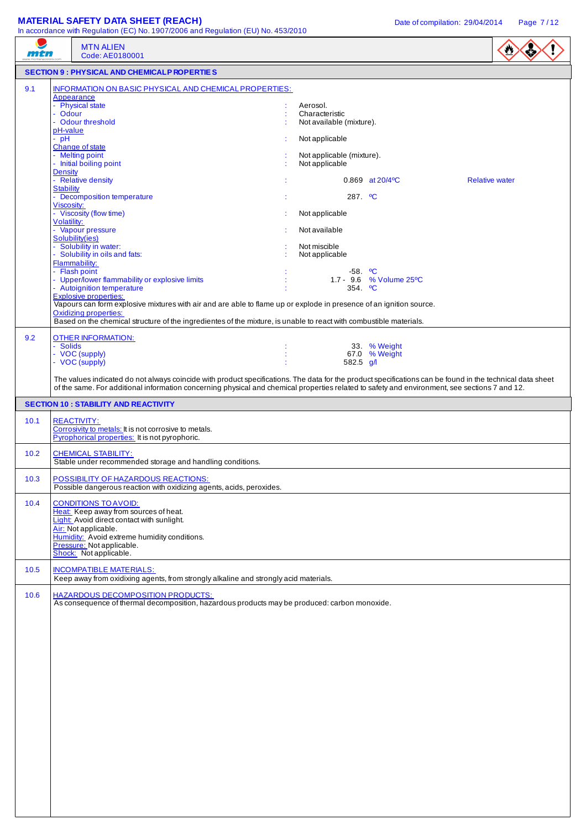## **MATERIAL SAFETY DATA SHEET (REACH)** Date of compilation: 29/04/2014 Page 7/12

| mtn          |                                                                                                  | in accordance with Regulation (EC) No. 1907/2006 and Regulation (EU) No. 453/2010<br><b>MTN ALIEN</b><br>Code: AE0180001                                                                                                                                                                                                                                                                                                                                                                                                                                                                                                                                                                                                                                                                          |                                                                                                                                                                                                                                          |                                                         | $\bullet$             |
|--------------|--------------------------------------------------------------------------------------------------|---------------------------------------------------------------------------------------------------------------------------------------------------------------------------------------------------------------------------------------------------------------------------------------------------------------------------------------------------------------------------------------------------------------------------------------------------------------------------------------------------------------------------------------------------------------------------------------------------------------------------------------------------------------------------------------------------------------------------------------------------------------------------------------------------|------------------------------------------------------------------------------------------------------------------------------------------------------------------------------------------------------------------------------------------|---------------------------------------------------------|-----------------------|
|              |                                                                                                  | <b>SECTION 9 : PHYSICAL AND CHEMICALP ROPERTIES</b>                                                                                                                                                                                                                                                                                                                                                                                                                                                                                                                                                                                                                                                                                                                                               |                                                                                                                                                                                                                                          |                                                         |                       |
| 9.1          | - Odour<br>pH-value<br>$-$ pH<br><b>Density</b><br><b>Stability</b><br>Viscosity:<br>Volatility: | INFORMATION ON BASIC PHYSICAL AND CHEMICAL PROPERTIES:<br>Appearance<br>- Physical state<br>- Odour threshold<br>Change of state<br>- Melting point<br>- Initial boiling point<br>- Relative density<br>- Decomposition temperature<br>- Viscosity (flow time)<br>- Vapour pressure<br>Solubility(ies)<br>- Solubility in water:<br>- Solubility in oils and fats:<br>Flammability:<br>- Flash point<br>- Upper/lower flammability or explosive limits<br>- Autoignition temperature<br><b>Explosive properties:</b><br>Vapours can form explosive mixtures with air and are able to flame up or explode in presence of an ignition source.<br><b>Oxidizing properties:</b><br>Based on the chemical structure of the ingredientes of the mixture, is unable to react with combustible materials. | Aerosol.<br>Characteristic<br>Not available (mixture).<br>Not applicable<br>Not applicable (mixture).<br>Not applicable<br>287. <sup>o</sup> C<br>Not applicable<br>Not available<br>Not miscible<br>Not applicable<br>354. $^{\circ}$ C | 0.869 at 20/4°C<br>$-58.$ °C<br>1.7 - 9.6 % Volume 25°C | <b>Relative water</b> |
| 9.2          | - Solids                                                                                         | <b>OTHER INFORMATION:</b><br>- VOC (supply)<br>- VOC (supply)<br>The values indicated do not always coincide with product specifications. The data for the product specifications can be found in the technical data sheet<br>of the same. For additional information concerning physical and chemical properties related to safety and environment, see sections 7 and 12.                                                                                                                                                                                                                                                                                                                                                                                                                       | 582.5 g/l                                                                                                                                                                                                                                | 33. % Weight<br>67.0 % Weight                           |                       |
|              |                                                                                                  | <b>SECTION 10 : STABILITY AND REACTIVITY</b>                                                                                                                                                                                                                                                                                                                                                                                                                                                                                                                                                                                                                                                                                                                                                      |                                                                                                                                                                                                                                          |                                                         |                       |
| 10.1         |                                                                                                  | <b>REACTIVITY:</b><br>Corrosivity to metals: It is not corrosive to metals.<br>Pyrophorical properties: It is not pyrophoric.                                                                                                                                                                                                                                                                                                                                                                                                                                                                                                                                                                                                                                                                     |                                                                                                                                                                                                                                          |                                                         |                       |
| 10.2         |                                                                                                  | <b>CHEMICAL STABILITY:</b><br>Stable under recommended storage and handling conditions.                                                                                                                                                                                                                                                                                                                                                                                                                                                                                                                                                                                                                                                                                                           |                                                                                                                                                                                                                                          |                                                         |                       |
| 10.3         |                                                                                                  | POSSIBILITY OF HAZARDOUS REACTIONS:<br>Possible dangerous reaction with oxidizing agents, acids, peroxides.                                                                                                                                                                                                                                                                                                                                                                                                                                                                                                                                                                                                                                                                                       |                                                                                                                                                                                                                                          |                                                         |                       |
| 10.4<br>10.5 |                                                                                                  | <b>CONDITIONS TO AVOID:</b><br>Heat: Keep away from sources of heat.<br>Light: Avoid direct contact with sunlight.<br>Air: Not applicable.<br>Humidity: Avoid extreme humidity conditions.<br>Pressure: Not applicable.<br>Shock: Not applicable.<br><b>INCOMPATIBLE MATERIALS:</b><br>Keep away from oxidixing agents, from strongly alkaline and strongly acid materials.                                                                                                                                                                                                                                                                                                                                                                                                                       |                                                                                                                                                                                                                                          |                                                         |                       |
| 10.6         |                                                                                                  | <b>HAZARDOUS DECOMPOSITION PRODUCTS:</b>                                                                                                                                                                                                                                                                                                                                                                                                                                                                                                                                                                                                                                                                                                                                                          |                                                                                                                                                                                                                                          |                                                         |                       |
|              |                                                                                                  | As consequence of thermal decomposition, hazardous products may be produced: carbon monoxide.                                                                                                                                                                                                                                                                                                                                                                                                                                                                                                                                                                                                                                                                                                     |                                                                                                                                                                                                                                          |                                                         |                       |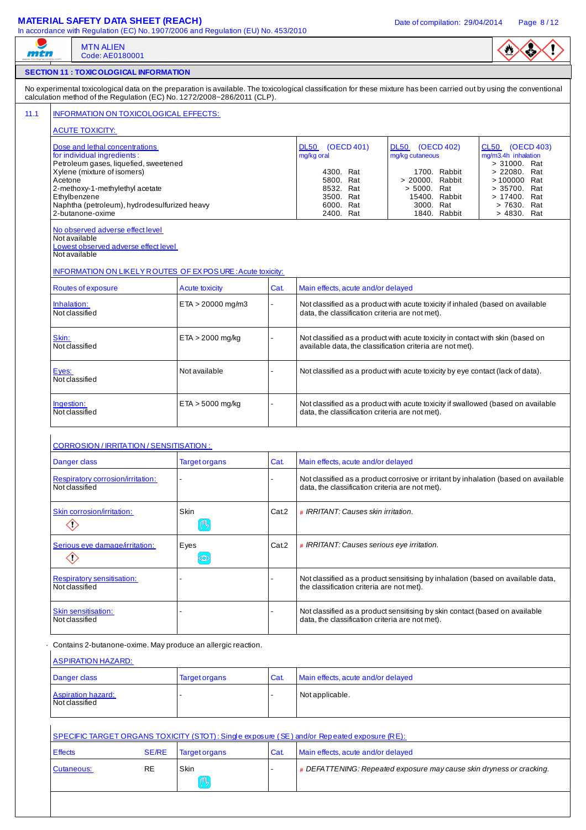# **MATERIAL SAFETY DATA SHEET (REACH)** Date of compilation: 29/04/2014 Page 8/12

|                                                                                                                                       | Code: AE0180001                                                                                                     |                        |       |                                                                                                                                                                       |                                                                                     |                                                                           |  |
|---------------------------------------------------------------------------------------------------------------------------------------|---------------------------------------------------------------------------------------------------------------------|------------------------|-------|-----------------------------------------------------------------------------------------------------------------------------------------------------------------------|-------------------------------------------------------------------------------------|---------------------------------------------------------------------------|--|
|                                                                                                                                       | <b>SECTION 11 : TOXIC OLOGICAL INFORMATION</b>                                                                      |                        |       |                                                                                                                                                                       |                                                                                     |                                                                           |  |
|                                                                                                                                       | calculation method of the Regulation (EC) No. 1272/2008~286/2011 (CLP).                                             |                        |       | No experimental toxicological data on the preparation is available. The toxicological classification for these mixture has been carried out by using the conventional |                                                                                     |                                                                           |  |
|                                                                                                                                       | INFORMATION ON TOXICOLOGICAL EFFECTS:                                                                               |                        |       |                                                                                                                                                                       |                                                                                     |                                                                           |  |
|                                                                                                                                       | <b>ACUTE TOXICITY:</b>                                                                                              |                        |       |                                                                                                                                                                       |                                                                                     |                                                                           |  |
| Dose and lethal concentrations<br>for individual ingredients:<br>Petroleum gases, liquefied, sweetened<br>Xylene (mixture of isomers) |                                                                                                                     |                        |       | <b>DL50</b><br>(OECD 401)<br>mg/kg oral<br>4300. Rat                                                                                                                  | DL50 (OECD 402)<br>mg/kg cutaneous<br>1700. Rabbit                                  | CL50 (OECD 403)<br>mg/m3.4h inhalation<br>> 31000. Rat<br>> 22080. Rat    |  |
| Acetone                                                                                                                               | 2-methoxy-1-methylethyl acetate<br>Ethylbenzene<br>Naphtha (petroleum), hydrodesulfurized heavy<br>2-butanone-oxime |                        |       | 5800. Rat<br>8532. Rat<br>3500. Rat<br>6000. Rat<br>2400. Rat                                                                                                         | > 20000. Rabbit<br>> 5000. Rat<br>15400. Rabbit<br>3000. Rat<br>1840. Rabbit        | >100000 Rat<br>> 35700. Rat<br>> 17400. Rat<br>> 7630. Rat<br>> 4830. Rat |  |
| No observed adverse effect level<br>Not available<br>Lowest observed adverse effect level<br>Not available                            |                                                                                                                     |                        |       |                                                                                                                                                                       |                                                                                     |                                                                           |  |
|                                                                                                                                       | INFORMATION ON LIKELY ROUTES OF EX POSURE: Acute toxicity:                                                          |                        |       |                                                                                                                                                                       |                                                                                     |                                                                           |  |
|                                                                                                                                       | Routes of exposure                                                                                                  | <b>Acute toxicity</b>  | Cat.  | Main effects, acute and/or delayed                                                                                                                                    |                                                                                     |                                                                           |  |
| Inhalation:<br>Not classified                                                                                                         |                                                                                                                     | $ETA > 20000$ mg/m3    |       | data, the classification criteria are not met).                                                                                                                       | Not classified as a product with acute toxicity if inhaled (based on available      |                                                                           |  |
| Skin:<br>Not classified                                                                                                               |                                                                                                                     | $ETA > 2000$ mg/kg     |       | Not classified as a product with acute toxicity in contact with skin (based on<br>available data, the classification criteria are not met).                           |                                                                                     |                                                                           |  |
| Eyes:<br>Not classified                                                                                                               |                                                                                                                     | Not available          |       | Not classified as a product with acute toxicity by eye contact (lack of data).                                                                                        |                                                                                     |                                                                           |  |
| Ingestion:<br>Not classified                                                                                                          |                                                                                                                     | $ETA > 5000$ mg/kg     |       | Not classified as a product with acute toxicity if swallowed (based on available<br>data, the classification criteria are not met).                                   |                                                                                     |                                                                           |  |
|                                                                                                                                       |                                                                                                                     |                        |       |                                                                                                                                                                       |                                                                                     |                                                                           |  |
|                                                                                                                                       | <b>CORROSION / IRRITATION / SENSITISATION:</b>                                                                      |                        |       |                                                                                                                                                                       |                                                                                     |                                                                           |  |
| Danger class                                                                                                                          |                                                                                                                     | <b>Target organs</b>   | Cat.  | Main effects, acute and/or delayed                                                                                                                                    |                                                                                     |                                                                           |  |
| Not classified                                                                                                                        | Respiratory corrosion/irritation:                                                                                   |                        |       | data, the classification criteria are not met).                                                                                                                       | Not classified as a product corrosive or irritant by inhalation (based on available |                                                                           |  |
|                                                                                                                                       | Skin corrosion/irritation:                                                                                          | <b>Skin</b>            | Cat.2 | # IRRITANT: Causes skin irritation.                                                                                                                                   |                                                                                     |                                                                           |  |
| $\diamondsuit$                                                                                                                        | Serious eye damage/irritation:                                                                                      | $(\mathbb{q})$<br>Eyes | Cat.2 | # IRRITANT: Causes serious eye irritation.                                                                                                                            |                                                                                     |                                                                           |  |
| $\diamondsuit$<br>Not classified                                                                                                      | <b>Respiratory sensitisation:</b>                                                                                   | $\circledcirc$         |       | the classification criteria are not met).                                                                                                                             | Not classified as a product sensitising by inhalation (based on available data,     |                                                                           |  |
| Not classified                                                                                                                        | <b>Skin sensitisation:</b>                                                                                          |                        |       | data, the classification criteria are not met).                                                                                                                       | Not classified as a product sensitising by skin contact (based on available         |                                                                           |  |
|                                                                                                                                       |                                                                                                                     |                        |       |                                                                                                                                                                       |                                                                                     |                                                                           |  |
|                                                                                                                                       | Contains 2-butanone-oxime. May produce an allergic reaction.                                                        |                        |       |                                                                                                                                                                       |                                                                                     |                                                                           |  |
| Danger class                                                                                                                          | <b>ASPIRATION HAZARD:</b>                                                                                           | <b>Target organs</b>   | Cat.  | Main effects, acute and/or delayed                                                                                                                                    |                                                                                     |                                                                           |  |
| Not classified                                                                                                                        | <b>Aspiration hazard:</b>                                                                                           |                        |       | Not applicable.                                                                                                                                                       |                                                                                     |                                                                           |  |
|                                                                                                                                       |                                                                                                                     |                        |       | SPECIFIC TARGET ORGANS TOXICITY (STOT): Single exposure (SE) and/or Repeated exposure (RE):                                                                           |                                                                                     |                                                                           |  |
| <b>Effects</b>                                                                                                                        | <b>SE/RE</b>                                                                                                        | <b>Target organs</b>   | Cat.  | Main effects, acute and/or delayed                                                                                                                                    |                                                                                     |                                                                           |  |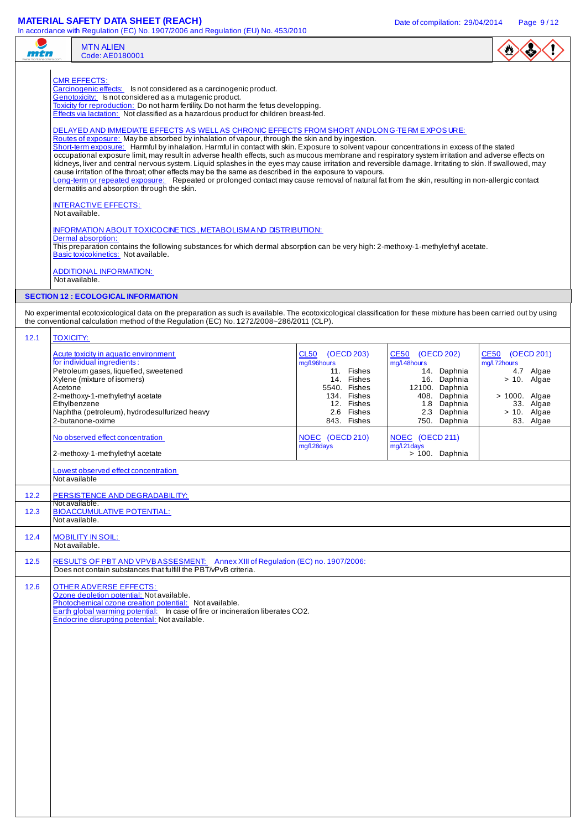# **MATERIAL SAFETY DATA SHEET (REACH)** Date of compilation: 29/04/2014 Page 9/12

 $\overline{\phantom{a}}$ 

| mtn                                                                                                                                                                                                                                                                                                                                                                                                                                                                                                                                                                                                                                                                                                                                                                                                                                                                                                                                                                                                                                                                                                                                                                                                                                                                                                                                                                                                                                                                                                                                                                                                                                                                                                      |                             | III accordance with Negulation (EO) NO. 1907/2000 and Negulation (EO) NO. 400/2010<br><b>MTN ALIEN</b><br>Code: AE0180001                                                                                                                                                |                                                                                                                                          |                                                                                                                                               |                                                                                                                             |  |
|----------------------------------------------------------------------------------------------------------------------------------------------------------------------------------------------------------------------------------------------------------------------------------------------------------------------------------------------------------------------------------------------------------------------------------------------------------------------------------------------------------------------------------------------------------------------------------------------------------------------------------------------------------------------------------------------------------------------------------------------------------------------------------------------------------------------------------------------------------------------------------------------------------------------------------------------------------------------------------------------------------------------------------------------------------------------------------------------------------------------------------------------------------------------------------------------------------------------------------------------------------------------------------------------------------------------------------------------------------------------------------------------------------------------------------------------------------------------------------------------------------------------------------------------------------------------------------------------------------------------------------------------------------------------------------------------------------|-----------------------------|--------------------------------------------------------------------------------------------------------------------------------------------------------------------------------------------------------------------------------------------------------------------------|------------------------------------------------------------------------------------------------------------------------------------------|-----------------------------------------------------------------------------------------------------------------------------------------------|-----------------------------------------------------------------------------------------------------------------------------|--|
| <b>CMR EFFECTS:</b><br>Carcinogenic effects: Is not considered as a carcinogenic product.<br>Genotoxicity: Is not considered as a mutagenic product.<br>Toxicity for reproduction: Do not harm fertility. Do not harm the fetus developping.<br>Effects via lactation: Not classified as a hazardous product for children breast-fed.<br>DELAYED AND IMMEDIATE EFFECTS AS WELL AS CHRONIC EFFECTS FROM SHORT AND LONG-TE RM EXPOSURE:<br>Routes of exposure: May be absorbed by inhalation of vapour, through the skin and by ingestion.<br>Short-term exposure: Harmful by inhalation. Harmful in contact with skin. Exposure to solvent vapour concentrations in excess of the stated<br>occupational exposure limit, may result in adverse health effects, such as mucous membrane and respiratory system irritation and adverse effects on<br>kidneys, liver and central nervous system. Liquid splashes in the eyes may cause irritation and reversible damage. Irritating to skin. If swallowed, may<br>cause irritation of the throat; other effects may be the same as described in the exposure to vapours.<br>Long-term or repeated exposure: Repeated or prolonged contact may cause removal of natural fat from the skin, resulting in non-allergic contact<br>dermatitis and absorption through the skin.<br><b>INTERACTIVE EFFECTS:</b><br>Not available.<br><b>INFORMATION ABOUT TOXICOCINE TICS, METABOLISM AND DISTRIBUTION:</b><br>Dermal absorption:<br>This preparation contains the following substances for which dermal absorption can be very high: 2-methoxy-1-methylethyl acetate.<br>Basic toxicokinetics: Not available.<br><b>ADDITIONAL INFORMATION:</b><br>Not available. |                             |                                                                                                                                                                                                                                                                          |                                                                                                                                          |                                                                                                                                               |                                                                                                                             |  |
|                                                                                                                                                                                                                                                                                                                                                                                                                                                                                                                                                                                                                                                                                                                                                                                                                                                                                                                                                                                                                                                                                                                                                                                                                                                                                                                                                                                                                                                                                                                                                                                                                                                                                                          |                             | <b>SECTION 12 : ECOLOGICAL INFORMATION</b>                                                                                                                                                                                                                               |                                                                                                                                          |                                                                                                                                               |                                                                                                                             |  |
|                                                                                                                                                                                                                                                                                                                                                                                                                                                                                                                                                                                                                                                                                                                                                                                                                                                                                                                                                                                                                                                                                                                                                                                                                                                                                                                                                                                                                                                                                                                                                                                                                                                                                                          |                             | No experimental ecotoxicological data on the preparation as such is available. The ecotoxicological classification for these mixture has been carried out by using<br>the conventional calculation method of the Regulation (EC) No. 1272/2008~286/2011 (CLP).           |                                                                                                                                          |                                                                                                                                               |                                                                                                                             |  |
| 12.1                                                                                                                                                                                                                                                                                                                                                                                                                                                                                                                                                                                                                                                                                                                                                                                                                                                                                                                                                                                                                                                                                                                                                                                                                                                                                                                                                                                                                                                                                                                                                                                                                                                                                                     | <b>TOXICITY:</b><br>Acetone | Acute toxicity in aquatic environment<br>for individual ingredients:<br>Petroleum gases, liquefied, sweetened<br>Xylene (mixture of isomers)<br>2-methoxy-1-methylethyl acetate<br>Ethylbenzene<br>Naphtha (petroleum), hydrodesulfurized heavy<br>2-butanone-oxime      | CL50<br>(OECD 203)<br>mg/l.96hours<br>11. Fishes<br>14. Fishes<br>5540. Fishes<br>134. Fishes<br>12. Fishes<br>2.6 Fishes<br>843. Fishes | CE50 (OECD 202)<br>mg/l.48hours<br>14. Daphnia<br>16. Daphnia<br>12100. Daphnia<br>408. Daphnia<br>1.8 Daphnia<br>2.3 Daphnia<br>750. Daphnia | CE50 (OECD 201)<br>mg/l.72hours<br>4.7 Algae<br>$> 10$ . Algae<br>> 1000. Algae<br>33. Algae<br>$> 10$ . Algae<br>83. Algae |  |
|                                                                                                                                                                                                                                                                                                                                                                                                                                                                                                                                                                                                                                                                                                                                                                                                                                                                                                                                                                                                                                                                                                                                                                                                                                                                                                                                                                                                                                                                                                                                                                                                                                                                                                          |                             | No observed effect concentration<br>2-methoxy-1-methylethyl acetate                                                                                                                                                                                                      | NOEC (OECD 210)<br>mg/l.28days                                                                                                           | NOEC (OECD 211)<br>mg/l.21days<br>> 100. Daphnia                                                                                              |                                                                                                                             |  |
|                                                                                                                                                                                                                                                                                                                                                                                                                                                                                                                                                                                                                                                                                                                                                                                                                                                                                                                                                                                                                                                                                                                                                                                                                                                                                                                                                                                                                                                                                                                                                                                                                                                                                                          |                             | Lowest observed effect concentration<br>Not available                                                                                                                                                                                                                    |                                                                                                                                          |                                                                                                                                               |                                                                                                                             |  |
| $12.2$                                                                                                                                                                                                                                                                                                                                                                                                                                                                                                                                                                                                                                                                                                                                                                                                                                                                                                                                                                                                                                                                                                                                                                                                                                                                                                                                                                                                                                                                                                                                                                                                                                                                                                   |                             | PERSISTENCE AND DEGRADABILITY:                                                                                                                                                                                                                                           |                                                                                                                                          |                                                                                                                                               |                                                                                                                             |  |
| 12.3                                                                                                                                                                                                                                                                                                                                                                                                                                                                                                                                                                                                                                                                                                                                                                                                                                                                                                                                                                                                                                                                                                                                                                                                                                                                                                                                                                                                                                                                                                                                                                                                                                                                                                     |                             | Not available.<br><b>BIOACCUMULATIVE POTENTIAL:</b><br>Not available.                                                                                                                                                                                                    |                                                                                                                                          |                                                                                                                                               |                                                                                                                             |  |
| 12.4                                                                                                                                                                                                                                                                                                                                                                                                                                                                                                                                                                                                                                                                                                                                                                                                                                                                                                                                                                                                                                                                                                                                                                                                                                                                                                                                                                                                                                                                                                                                                                                                                                                                                                     |                             | <b>MOBILITY IN SOIL:</b><br>Not available.                                                                                                                                                                                                                               |                                                                                                                                          |                                                                                                                                               |                                                                                                                             |  |
| 12.5                                                                                                                                                                                                                                                                                                                                                                                                                                                                                                                                                                                                                                                                                                                                                                                                                                                                                                                                                                                                                                                                                                                                                                                                                                                                                                                                                                                                                                                                                                                                                                                                                                                                                                     |                             | RESULTS OF PBT AND VPVBASSESMENT: Annex XIII of Regulation (EC) no. 1907/2006:<br>Does not contain substances that fulfill the PBT/vPvB criteria.                                                                                                                        |                                                                                                                                          |                                                                                                                                               |                                                                                                                             |  |
| 12.6                                                                                                                                                                                                                                                                                                                                                                                                                                                                                                                                                                                                                                                                                                                                                                                                                                                                                                                                                                                                                                                                                                                                                                                                                                                                                                                                                                                                                                                                                                                                                                                                                                                                                                     |                             | <b>OTHER ADVERSE EFFECTS:</b><br>Ozone depletion potential: Not available.<br>Photochemical ozone creation potential: Not available.<br>Earth global warming potential: In case of fire or incineration liberates CO2.<br>Endocrine disrupting potential: Not available. |                                                                                                                                          |                                                                                                                                               |                                                                                                                             |  |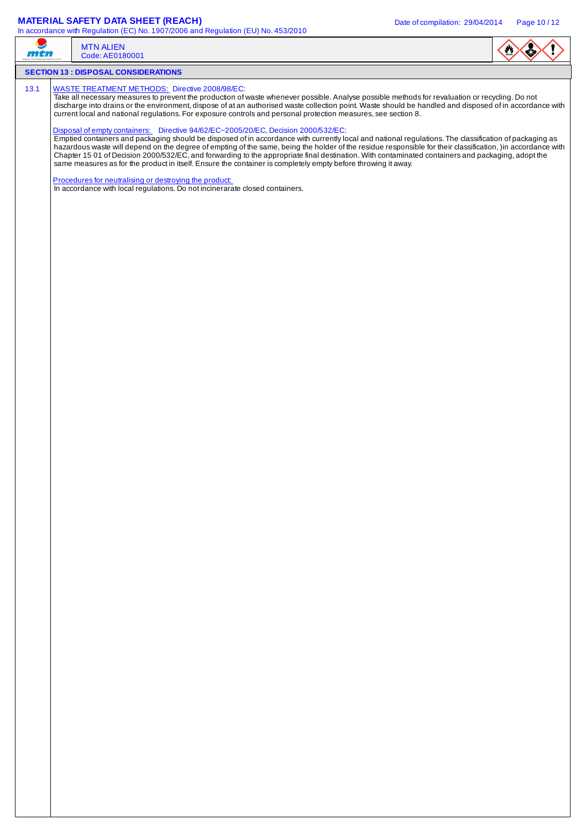# **MATERIAL SAFETY DATA SHEET (REACH)** Date of compilation: 29/04/2014 Page 10/12

| mtn  | in accordance with Regulation (EC) No. 1907/2006 and Regulation (EO) No. 455/2010                                                                                                                                                                                                                                                                                                                                                                                                                                                                                                                                                                                                                                                                                                                                                                                                                                                                                                                                                                                                                                                                                           | <b>MTN ALIEN</b><br>Code: AE0180001                                                                                                    |  |  |  |  |  |
|------|-----------------------------------------------------------------------------------------------------------------------------------------------------------------------------------------------------------------------------------------------------------------------------------------------------------------------------------------------------------------------------------------------------------------------------------------------------------------------------------------------------------------------------------------------------------------------------------------------------------------------------------------------------------------------------------------------------------------------------------------------------------------------------------------------------------------------------------------------------------------------------------------------------------------------------------------------------------------------------------------------------------------------------------------------------------------------------------------------------------------------------------------------------------------------------|----------------------------------------------------------------------------------------------------------------------------------------|--|--|--|--|--|
|      |                                                                                                                                                                                                                                                                                                                                                                                                                                                                                                                                                                                                                                                                                                                                                                                                                                                                                                                                                                                                                                                                                                                                                                             | <b>SECTION 13 : DISPOSAL CONSIDERATIONS</b>                                                                                            |  |  |  |  |  |
| 13.1 | <b>WASTE TREATMENT METHODS:</b> Directive 2008/98/EC:<br>Take all necessary measures to prevent the production of waste whenever possible. Analyse possible methods for revaluation or recycling. Do not<br>discharge into drains or the environment, dispose of at an authorised waste collection point. Waste should be handled and disposed of in accordance with<br>current local and national regulations. For exposure controls and personal protection measures, see section 8.<br>Disposal of empty containers: Directive 94/62/EC~2005/20/EC, Decision 2000/532/EC:<br>Emptied containers and packaging should be disposed of in accordance with currently local and national regulations. The classification of packaging as<br>hazardous waste will depend on the degree of empting of the same, being the holder of the residue responsible for their classification, )in accordance with<br>Chapter 15 01 of Decision 2000/532/EC, and forwarding to the appropriate final destination. With contaminated containers and packaging, adopt the<br>same measures as for the product in itself. Ensure the container is completely empty before throwing it away. |                                                                                                                                        |  |  |  |  |  |
|      |                                                                                                                                                                                                                                                                                                                                                                                                                                                                                                                                                                                                                                                                                                                                                                                                                                                                                                                                                                                                                                                                                                                                                                             | Procedures for neutralising or destroying the product:<br>In accordance with local regulations. Do not incinerarate closed containers. |  |  |  |  |  |
|      |                                                                                                                                                                                                                                                                                                                                                                                                                                                                                                                                                                                                                                                                                                                                                                                                                                                                                                                                                                                                                                                                                                                                                                             |                                                                                                                                        |  |  |  |  |  |
|      |                                                                                                                                                                                                                                                                                                                                                                                                                                                                                                                                                                                                                                                                                                                                                                                                                                                                                                                                                                                                                                                                                                                                                                             |                                                                                                                                        |  |  |  |  |  |
|      |                                                                                                                                                                                                                                                                                                                                                                                                                                                                                                                                                                                                                                                                                                                                                                                                                                                                                                                                                                                                                                                                                                                                                                             |                                                                                                                                        |  |  |  |  |  |
|      |                                                                                                                                                                                                                                                                                                                                                                                                                                                                                                                                                                                                                                                                                                                                                                                                                                                                                                                                                                                                                                                                                                                                                                             |                                                                                                                                        |  |  |  |  |  |
|      |                                                                                                                                                                                                                                                                                                                                                                                                                                                                                                                                                                                                                                                                                                                                                                                                                                                                                                                                                                                                                                                                                                                                                                             |                                                                                                                                        |  |  |  |  |  |
|      |                                                                                                                                                                                                                                                                                                                                                                                                                                                                                                                                                                                                                                                                                                                                                                                                                                                                                                                                                                                                                                                                                                                                                                             |                                                                                                                                        |  |  |  |  |  |
|      |                                                                                                                                                                                                                                                                                                                                                                                                                                                                                                                                                                                                                                                                                                                                                                                                                                                                                                                                                                                                                                                                                                                                                                             |                                                                                                                                        |  |  |  |  |  |
|      |                                                                                                                                                                                                                                                                                                                                                                                                                                                                                                                                                                                                                                                                                                                                                                                                                                                                                                                                                                                                                                                                                                                                                                             |                                                                                                                                        |  |  |  |  |  |
|      |                                                                                                                                                                                                                                                                                                                                                                                                                                                                                                                                                                                                                                                                                                                                                                                                                                                                                                                                                                                                                                                                                                                                                                             |                                                                                                                                        |  |  |  |  |  |
|      |                                                                                                                                                                                                                                                                                                                                                                                                                                                                                                                                                                                                                                                                                                                                                                                                                                                                                                                                                                                                                                                                                                                                                                             |                                                                                                                                        |  |  |  |  |  |
|      |                                                                                                                                                                                                                                                                                                                                                                                                                                                                                                                                                                                                                                                                                                                                                                                                                                                                                                                                                                                                                                                                                                                                                                             |                                                                                                                                        |  |  |  |  |  |
|      |                                                                                                                                                                                                                                                                                                                                                                                                                                                                                                                                                                                                                                                                                                                                                                                                                                                                                                                                                                                                                                                                                                                                                                             |                                                                                                                                        |  |  |  |  |  |
|      |                                                                                                                                                                                                                                                                                                                                                                                                                                                                                                                                                                                                                                                                                                                                                                                                                                                                                                                                                                                                                                                                                                                                                                             |                                                                                                                                        |  |  |  |  |  |
|      |                                                                                                                                                                                                                                                                                                                                                                                                                                                                                                                                                                                                                                                                                                                                                                                                                                                                                                                                                                                                                                                                                                                                                                             |                                                                                                                                        |  |  |  |  |  |
|      |                                                                                                                                                                                                                                                                                                                                                                                                                                                                                                                                                                                                                                                                                                                                                                                                                                                                                                                                                                                                                                                                                                                                                                             |                                                                                                                                        |  |  |  |  |  |
|      |                                                                                                                                                                                                                                                                                                                                                                                                                                                                                                                                                                                                                                                                                                                                                                                                                                                                                                                                                                                                                                                                                                                                                                             |                                                                                                                                        |  |  |  |  |  |
|      |                                                                                                                                                                                                                                                                                                                                                                                                                                                                                                                                                                                                                                                                                                                                                                                                                                                                                                                                                                                                                                                                                                                                                                             |                                                                                                                                        |  |  |  |  |  |
|      |                                                                                                                                                                                                                                                                                                                                                                                                                                                                                                                                                                                                                                                                                                                                                                                                                                                                                                                                                                                                                                                                                                                                                                             |                                                                                                                                        |  |  |  |  |  |
|      |                                                                                                                                                                                                                                                                                                                                                                                                                                                                                                                                                                                                                                                                                                                                                                                                                                                                                                                                                                                                                                                                                                                                                                             |                                                                                                                                        |  |  |  |  |  |
|      |                                                                                                                                                                                                                                                                                                                                                                                                                                                                                                                                                                                                                                                                                                                                                                                                                                                                                                                                                                                                                                                                                                                                                                             |                                                                                                                                        |  |  |  |  |  |
|      |                                                                                                                                                                                                                                                                                                                                                                                                                                                                                                                                                                                                                                                                                                                                                                                                                                                                                                                                                                                                                                                                                                                                                                             |                                                                                                                                        |  |  |  |  |  |
|      |                                                                                                                                                                                                                                                                                                                                                                                                                                                                                                                                                                                                                                                                                                                                                                                                                                                                                                                                                                                                                                                                                                                                                                             |                                                                                                                                        |  |  |  |  |  |
|      |                                                                                                                                                                                                                                                                                                                                                                                                                                                                                                                                                                                                                                                                                                                                                                                                                                                                                                                                                                                                                                                                                                                                                                             |                                                                                                                                        |  |  |  |  |  |
|      |                                                                                                                                                                                                                                                                                                                                                                                                                                                                                                                                                                                                                                                                                                                                                                                                                                                                                                                                                                                                                                                                                                                                                                             |                                                                                                                                        |  |  |  |  |  |
|      |                                                                                                                                                                                                                                                                                                                                                                                                                                                                                                                                                                                                                                                                                                                                                                                                                                                                                                                                                                                                                                                                                                                                                                             |                                                                                                                                        |  |  |  |  |  |
|      |                                                                                                                                                                                                                                                                                                                                                                                                                                                                                                                                                                                                                                                                                                                                                                                                                                                                                                                                                                                                                                                                                                                                                                             |                                                                                                                                        |  |  |  |  |  |
|      |                                                                                                                                                                                                                                                                                                                                                                                                                                                                                                                                                                                                                                                                                                                                                                                                                                                                                                                                                                                                                                                                                                                                                                             |                                                                                                                                        |  |  |  |  |  |
|      |                                                                                                                                                                                                                                                                                                                                                                                                                                                                                                                                                                                                                                                                                                                                                                                                                                                                                                                                                                                                                                                                                                                                                                             |                                                                                                                                        |  |  |  |  |  |
|      |                                                                                                                                                                                                                                                                                                                                                                                                                                                                                                                                                                                                                                                                                                                                                                                                                                                                                                                                                                                                                                                                                                                                                                             |                                                                                                                                        |  |  |  |  |  |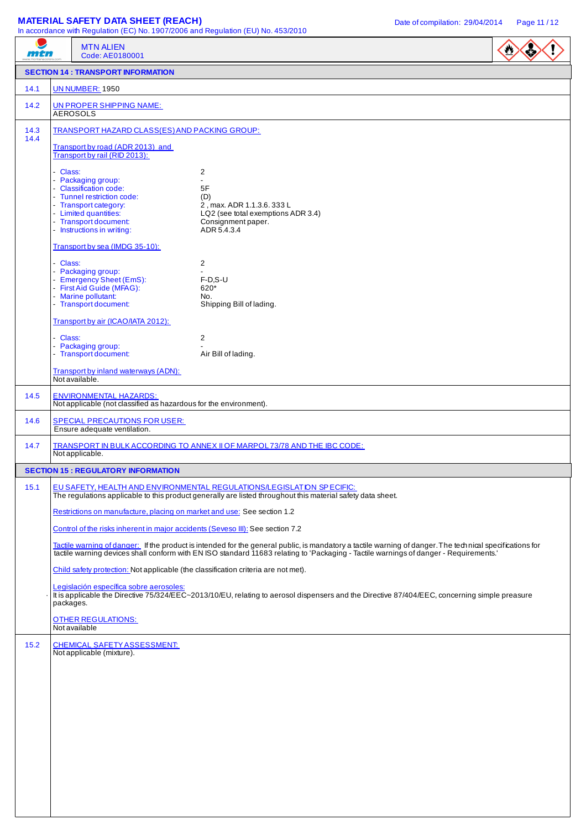# **MATERIAL SAFETY DATA SHEET (REACH)** Date of compilation: 29/04/2014 Page 11/12

|                                            | In accordance with Regulation (EC) No. 1907/2006 and Regulation (EU) No. 453/2010<br><b>MTN ALIEN</b>                                                                                                                                                                                             |                                                                         |  |
|--------------------------------------------|---------------------------------------------------------------------------------------------------------------------------------------------------------------------------------------------------------------------------------------------------------------------------------------------------|-------------------------------------------------------------------------|--|
| mtn                                        | Code: AE0180001                                                                                                                                                                                                                                                                                   |                                                                         |  |
| <b>SECTION 14 : TRANSPORT INFORMATION</b>  |                                                                                                                                                                                                                                                                                                   |                                                                         |  |
| 14.1                                       | <b>UN NUMBER: 1950</b>                                                                                                                                                                                                                                                                            |                                                                         |  |
| 14.2                                       | UN PROPER SHIPPING NAME:<br><b>AEROSOLS</b>                                                                                                                                                                                                                                                       |                                                                         |  |
| 14.3<br>14.4                               | TRANSPORT HAZARD CLASS(ES) AND PACKING GROUP:                                                                                                                                                                                                                                                     |                                                                         |  |
|                                            | Transport by road (ADR 2013) and<br>Transport by rail (RID 2013):                                                                                                                                                                                                                                 |                                                                         |  |
|                                            | - Class:<br>- Packaging group:                                                                                                                                                                                                                                                                    | 2<br>$\overline{a}$                                                     |  |
|                                            | - Classification code:<br>- Tunnel restriction code:                                                                                                                                                                                                                                              | 5F<br>(D)                                                               |  |
|                                            | - Transport category:                                                                                                                                                                                                                                                                             | 2, max. ADR 1.1.3.6. 333 L                                              |  |
|                                            | - Limited quantities:<br>- Transport document:<br>- Instructions in writing:                                                                                                                                                                                                                      | LQ2 (see total exemptions ADR 3.4)<br>Consignment paper.<br>ADR 5.4.3.4 |  |
|                                            | Transport by sea (IMDG 35-10):                                                                                                                                                                                                                                                                    |                                                                         |  |
|                                            | - Class:                                                                                                                                                                                                                                                                                          | 2                                                                       |  |
|                                            | - Packaging group:<br>- Emergency Sheet (EmS):                                                                                                                                                                                                                                                    | $F-D.S-U$                                                               |  |
|                                            | - First Aid Guide (MFAG):<br>- Marine pollutant:                                                                                                                                                                                                                                                  | 620*<br>No.                                                             |  |
|                                            | - Transport document:                                                                                                                                                                                                                                                                             | Shipping Bill of lading.                                                |  |
|                                            | Transport by air (ICAO/IATA 2012):                                                                                                                                                                                                                                                                |                                                                         |  |
|                                            | - Class:<br>- Packaging group:                                                                                                                                                                                                                                                                    | 2                                                                       |  |
|                                            | - Transport document:                                                                                                                                                                                                                                                                             | Air Bill of lading.                                                     |  |
|                                            | Transport by inland waterways (ADN):<br>Not available.                                                                                                                                                                                                                                            |                                                                         |  |
| 14.5                                       | <b>ENVIRONMENTAL HAZARDS:</b><br>Not applicable (not classified as hazardous for the environment).                                                                                                                                                                                                |                                                                         |  |
| 14.6                                       | <b>SPECIAL PRECAUTIONS FOR USER:</b><br>Ensure adequate ventilation.                                                                                                                                                                                                                              |                                                                         |  |
| 14.7                                       | TRANSPORT IN BULK ACCORDING TO ANNEX II OF MARPOL 73/78 AND THE IBC CODE:<br>Not applicable.                                                                                                                                                                                                      |                                                                         |  |
| <b>SECTION 15 : REGULATORY INFORMATION</b> |                                                                                                                                                                                                                                                                                                   |                                                                         |  |
| 15.1                                       | EU SAFETY, HEALTH AND ENVIRONMENTAL REGULATIONS/LEGISLATION SPECIFIC:<br>The regulations applicable to this product generally are listed throughout this material safety data sheet.<br>Restrictions on manufacture, placing on market and use: See section 1.2                                   |                                                                         |  |
|                                            |                                                                                                                                                                                                                                                                                                   |                                                                         |  |
|                                            | Control of the risks inherent in major accidents (Seveso III): See section 7.2                                                                                                                                                                                                                    |                                                                         |  |
|                                            | Tactile warning of danger: If the product is intended for the general public, is mandatory a tactile warning of danger. The technical specifications for<br>tactile warning devices shall conform with EN ISO standard 11683 relating to 'Packaging - Tactile warnings of danger - Requirements.' |                                                                         |  |
|                                            | Child safety protection: Not applicable (the classification criteria are not met).                                                                                                                                                                                                                |                                                                         |  |
|                                            | Legislación específica sobre aerosoles:<br>It is applicable the Directive 75/324/EEC~2013/10/EU, relating to aerosol dispensers and the Directive 87/404/EEC, concerning simple preasure<br>packages.                                                                                             |                                                                         |  |
|                                            | <b>OTHER REGULATIONS:</b><br>Not available                                                                                                                                                                                                                                                        |                                                                         |  |
| 15.2                                       | <b>CHEMICAL SAFETY ASSESSMENT:</b>                                                                                                                                                                                                                                                                |                                                                         |  |
|                                            | Not applicable (mixture).                                                                                                                                                                                                                                                                         |                                                                         |  |
|                                            |                                                                                                                                                                                                                                                                                                   |                                                                         |  |
|                                            |                                                                                                                                                                                                                                                                                                   |                                                                         |  |
|                                            |                                                                                                                                                                                                                                                                                                   |                                                                         |  |
|                                            |                                                                                                                                                                                                                                                                                                   |                                                                         |  |
|                                            |                                                                                                                                                                                                                                                                                                   |                                                                         |  |
|                                            |                                                                                                                                                                                                                                                                                                   |                                                                         |  |
|                                            |                                                                                                                                                                                                                                                                                                   |                                                                         |  |
|                                            |                                                                                                                                                                                                                                                                                                   |                                                                         |  |